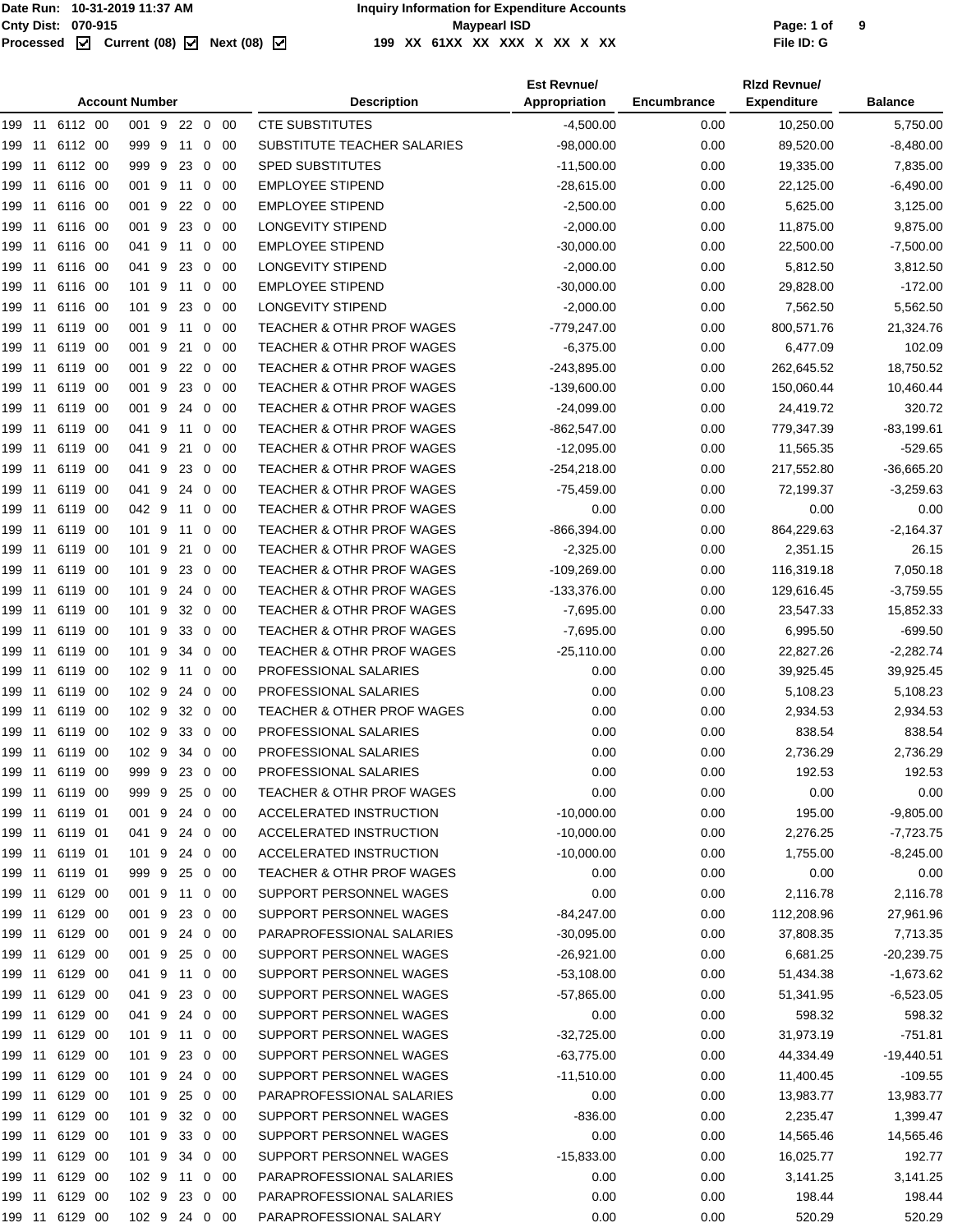|        |      |                |      | <b>Account Number</b> |         |              |             | <b>Description</b>                   | <b>Est Revnue/</b><br>Appropriation | Encumbrance | <b>Rizd Revnue/</b><br><b>Expenditure</b> | <b>Balance</b> |
|--------|------|----------------|------|-----------------------|---------|--------------|-------------|--------------------------------------|-------------------------------------|-------------|-------------------------------------------|----------------|
|        |      | 199 11 6112 00 |      | 001 9 22 0 00         |         |              |             | <b>CTE SUBSTITUTES</b>               | $-4,500.00$                         | 0.00        | 10,250.00                                 | 5,750.00       |
| 199 11 |      | 6112 00        |      | 999 9                 | 11      | 0            | -00         | SUBSTITUTE TEACHER SALARIES          | $-98,000.00$                        | 0.00        | 89,520.00                                 | $-8,480.00$    |
| 199    | -11  | 6112 00        |      | 999 9                 | 23      | $\mathbf 0$  | -00         | <b>SPED SUBSTITUTES</b>              | $-11,500.00$                        | 0.00        | 19,335.00                                 | 7,835.00       |
| 199    | 11   | 6116 00        |      | 001 9                 | 11      | $\mathbf 0$  | 00          | <b>EMPLOYEE STIPEND</b>              | $-28,615.00$                        | 0.00        | 22,125.00                                 | $-6,490.00$    |
| 199 11 |      | 6116 00        |      | 001 9                 | 22      | $\mathbf 0$  | - 00        | <b>EMPLOYEE STIPEND</b>              | $-2,500.00$                         | 0.00        | 5,625.00                                  | 3,125.00       |
| 199    | 11   | 6116 00        |      | 001 9                 | 23      |              | $0\quad 00$ | <b>LONGEVITY STIPEND</b>             | $-2,000.00$                         | 0.00        | 11,875.00                                 | 9,875.00       |
| 199    | 11   | 6116 00        |      | 041 9                 | 11      | 0            | 00          | <b>EMPLOYEE STIPEND</b>              | $-30,000.00$                        | 0.00        | 22,500.00                                 | $-7,500.00$    |
| 199    | 11   | 6116 00        |      | 041 9                 | 23      | 0            | 00          | LONGEVITY STIPEND                    | $-2,000.00$                         | 0.00        | 5,812.50                                  | 3,812.50       |
| 199    | -11  | 6116 00        |      | 101 9                 | 11      | $\mathbf{0}$ | 00          | <b>EMPLOYEE STIPEND</b>              | $-30,000.00$                        | 0.00        | 29,828.00                                 | $-172.00$      |
| 199    | - 11 | 6116 00        |      | 101 9                 | 23      | $\mathbf{0}$ | 00          | LONGEVITY STIPEND                    | $-2,000.00$                         | 0.00        | 7,562.50                                  | 5,562.50       |
| 199 11 |      | 6119 00        |      | 001 9                 | 11      | $\mathbf{0}$ | -00         | TEACHER & OTHR PROF WAGES            | -779,247.00                         | 0.00        | 800,571.76                                | 21,324.76      |
| 199 11 |      | 6119 00        |      | 001 9                 | 21      |              | $0\quad 00$ | <b>TEACHER &amp; OTHR PROF WAGES</b> | $-6,375.00$                         | 0.00        | 6,477.09                                  | 102.09         |
| 199    | -11  | 6119 00        |      | 001 9                 | 22      | 0            | 00          | <b>TEACHER &amp; OTHR PROF WAGES</b> | $-243,895.00$                       | 0.00        | 262,645.52                                | 18,750.52      |
| 199    | 11   | 6119           | - 00 | 001 9                 | 23      | 0            | -00         | <b>TEACHER &amp; OTHR PROF WAGES</b> | $-139,600.00$                       | 0.00        | 150,060.44                                | 10,460.44      |
| 199    | 11   | 6119 00        |      | 001 9                 | 24      | $\mathbf 0$  | -00         | <b>TEACHER &amp; OTHR PROF WAGES</b> | $-24,099.00$                        | 0.00        | 24,419.72                                 | 320.72         |
| 199    | -11  | 6119 00        |      | 041 9                 | 11      | $\mathbf 0$  | 00          | TEACHER & OTHR PROF WAGES            | $-862,547.00$                       | 0.00        | 779,347.39                                | $-83,199.61$   |
| 199 11 |      | 6119 00        |      | 041 9                 | 21      | $\mathbf{0}$ | -00         | <b>TEACHER &amp; OTHR PROF WAGES</b> | $-12,095.00$                        | 0.00        | 11,565.35                                 | $-529.65$      |
| 199 11 |      | 6119 00        |      | 041 9                 | 23      |              | $0\quad 00$ | <b>TEACHER &amp; OTHR PROF WAGES</b> | $-254,218.00$                       | 0.00        | 217,552.80                                | $-36,665.20$   |
| 199    | 11   | 6119 00        |      | 041 9                 | 24      | $\mathbf{0}$ | - 00        | <b>TEACHER &amp; OTHR PROF WAGES</b> | $-75,459.00$                        | 0.00        | 72,199.37                                 | $-3,259.63$    |
| 199    | 11   | 6119           | - 00 | 042 9                 | 11      | $\mathbf{0}$ | -00         | <b>TEACHER &amp; OTHR PROF WAGES</b> | 0.00                                | 0.00        | 0.00                                      | 0.00           |
| 199    | 11   | 6119 00        |      | 101 9                 | 11      | $\mathbf{0}$ | - 00        | <b>TEACHER &amp; OTHR PROF WAGES</b> | $-866,394.00$                       | 0.00        | 864,229.63                                | -2,164.37      |
| 199 11 |      | 6119 00        |      | 101 9                 | 21      | $\mathbf{0}$ | 00          | <b>TEACHER &amp; OTHR PROF WAGES</b> | $-2,325.00$                         | 0.00        | 2,351.15                                  | 26.15          |
| 199 11 |      | 6119 00        |      | 101 9                 | 23      | $\mathbf{0}$ | - 00        | <b>TEACHER &amp; OTHR PROF WAGES</b> | $-109,269.00$                       | 0.00        | 116,319.18                                | 7,050.18       |
| 199 11 |      | 6119 00        |      | 101 9                 | 24      | $\mathbf 0$  | - 00        | <b>TEACHER &amp; OTHR PROF WAGES</b> | -133,376.00                         | 0.00        | 129,616.45                                | $-3,759.55$    |
| 199 11 |      | 6119 00        |      | 101 9                 | 32      | 0            | -00         | <b>TEACHER &amp; OTHR PROF WAGES</b> | $-7,695.00$                         | 0.00        | 23,547.33                                 | 15,852.33      |
| 199    | 11   | 6119           | - 00 | 101 9                 | 33      | 0            | -00         | TEACHER & OTHR PROF WAGES            | $-7,695.00$                         | 0.00        | 6,995.50                                  | $-699.50$      |
| 199    | 11   | 6119 00        |      | 101 9                 | 34      | $\mathbf{0}$ | 00          | TEACHER & OTHR PROF WAGES            | $-25,110.00$                        | 0.00        | 22,827.26                                 | $-2,282.74$    |
| 199    | -11  | 6119 00        |      | 102 9                 | 11      | $\mathbf 0$  | 00          | PROFESSIONAL SALARIES                | 0.00                                | 0.00        | 39,925.45                                 | 39,925.45      |
| 199 11 |      | 6119 00        |      | 102 9                 | 24      | $\mathbf 0$  | -00         | PROFESSIONAL SALARIES                | 0.00                                | 0.00        | 5,108.23                                  | 5,108.23       |
| 199 11 |      | 6119 00        |      | 102 9                 | 32 0 00 |              |             | TEACHER & OTHER PROF WAGES           | 0.00                                | 0.00        | 2,934.53                                  | 2,934.53       |
| 199    | -11  | 6119 00        |      | 102 9                 | 33      | 0            | 00          | PROFESSIONAL SALARIES                | 0.00                                | 0.00        | 838.54                                    | 838.54         |
|        |      | 199 11 6119 00 |      | 102 9                 | 34 0 00 |              |             | <b>PROFESSIONAL SALARIES</b>         | 0.00                                | 0.00        | 2,736.29                                  | 2,736.29       |
|        |      | 199 11 6119 00 |      | 999 9 23 0 00         |         |              |             | PROFESSIONAL SALARIES                | 0.00                                | 0.00        | 192.53                                    | 192.53         |
| 199 11 |      | 6119 00        |      | 999 9                 | 25      |              | $0\quad 00$ | TEACHER & OTHR PROF WAGES            | 0.00                                | 0.00        | 0.00                                      | 0.00           |
|        |      | 199 11 6119 01 |      | 001 9                 | 24 0 00 |              |             | ACCELERATED INSTRUCTION              | $-10,000.00$                        | 0.00        | 195.00                                    | $-9,805.00$    |
| 199 11 |      | 6119 01        |      | 041 9 24 0 00         |         |              |             | ACCELERATED INSTRUCTION              | $-10,000.00$                        | 0.00        | 2,276.25                                  | $-7,723.75$    |
| 199 11 |      | 6119 01        |      | 101 9                 | 24 0 00 |              |             | ACCELERATED INSTRUCTION              | $-10,000.00$                        | 0.00        | 1,755.00                                  | $-8,245.00$    |
| 199 11 |      | 6119 01        |      | 999 9                 | 25      |              | $0\quad 00$ | TEACHER & OTHR PROF WAGES            | 0.00                                | 0.00        | 0.00                                      | 0.00           |
| 199 11 |      | 6129 00        |      | 001 9                 | 11      |              | $0\quad 00$ | SUPPORT PERSONNEL WAGES              | 0.00                                | 0.00        | 2,116.78                                  | 2,116.78       |
| 199 11 |      | 6129 00        |      | 001 9                 | 23      |              | $0\quad 00$ | SUPPORT PERSONNEL WAGES              | $-84,247.00$                        | 0.00        | 112,208.96                                | 27,961.96      |
| 199 11 |      | 6129 00        |      | 001 9                 | 24 0 00 |              |             | PARAPROFESSIONAL SALARIES            | $-30,095.00$                        | 0.00        | 37,808.35                                 | 7,713.35       |
| 199 11 |      | 6129 00        |      | 001 9 25 0 00         |         |              |             | SUPPORT PERSONNEL WAGES              | $-26,921.00$                        | 0.00        | 6,681.25                                  | $-20,239.75$   |
| 199 11 |      | 6129 00        |      | 041 9                 | 11      |              | $0\quad 00$ | SUPPORT PERSONNEL WAGES              | $-53,108.00$                        | 0.00        | 51,434.38                                 | $-1,673.62$    |
| 199 11 |      | 6129 00        |      | 041 9                 | 23      |              | $0\quad 00$ | SUPPORT PERSONNEL WAGES              | $-57,865.00$                        | 0.00        | 51,341.95                                 | $-6,523.05$    |
| 199 11 |      | 6129 00        |      | 041 9                 | 24 0 00 |              |             | SUPPORT PERSONNEL WAGES              | 0.00                                | 0.00        | 598.32                                    | 598.32         |
| 199 11 |      | 6129 00        |      | 101 9                 | 11      |              | $0\quad 00$ | SUPPORT PERSONNEL WAGES              | $-32,725.00$                        | 0.00        | 31,973.19                                 | $-751.81$      |
| 199 11 |      | 6129 00        |      | 101 9                 | 23 0 00 |              |             | SUPPORT PERSONNEL WAGES              | $-63,775.00$                        | 0.00        | 44,334.49                                 | $-19,440.51$   |
| 199 11 |      | 6129 00        |      | 101 9 24 0 00         |         |              |             | SUPPORT PERSONNEL WAGES              | $-11,510.00$                        | 0.00        | 11,400.45                                 | $-109.55$      |
| 199 11 |      | 6129 00        |      | 101 9                 | 25      |              | $0\quad 00$ | PARAPROFESSIONAL SALARIES            | 0.00                                | 0.00        | 13,983.77                                 | 13,983.77      |
| 199 11 |      | 6129 00        |      | 101 9                 |         |              | 32 0 00     | SUPPORT PERSONNEL WAGES              | -836.00                             | 0.00        | 2,235.47                                  | 1,399.47       |
| 199 11 |      | 6129 00        |      | 101 9                 | 33 0 00 |              |             | SUPPORT PERSONNEL WAGES              | 0.00                                | 0.00        | 14,565.46                                 | 14,565.46      |
| 199 11 |      | 6129 00        |      | 101 9                 | 34      |              | $0\quad 00$ | SUPPORT PERSONNEL WAGES              | $-15,833.00$                        | 0.00        | 16,025.77                                 | 192.77         |
| 199 11 |      | 6129 00        |      | 102 9                 | 11      |              | $0\quad 00$ | PARAPROFESSIONAL SALARIES            | 0.00                                | 0.00        | 3,141.25                                  | 3,141.25       |
| 199 11 |      | 6129 00        |      | 102 9 23 0 00         |         |              |             | PARAPROFESSIONAL SALARIES            | 0.00                                | 0.00        | 198.44                                    | 198.44         |
| 199 11 |      | 6129 00        |      | 102 9 24 0 00         |         |              |             | PARAPROFESSIONAL SALARY              | 0.00                                | 0.00        | 520.29                                    | 520.29         |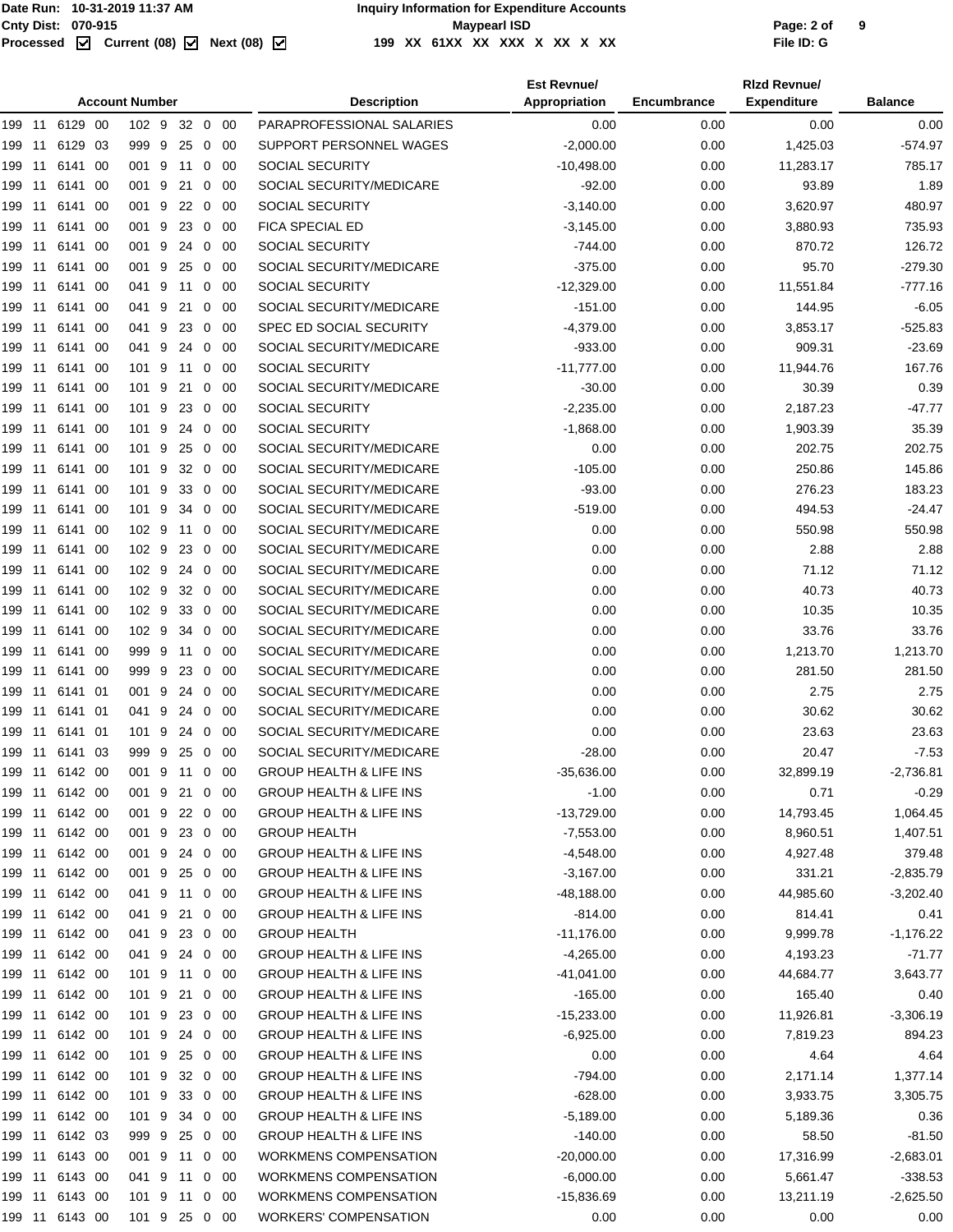#### Cnty Dist: 070-915<br> **Processed M** Current (08) Mext (08) M and the Maypearl ISD<br>
Processed M Current (08) M Next (08) M 199 XX 61XX XX XX X XX X XX **199 XX 61XX XX XXX X XX X XX File ID: G**

|        |      |                |     | <b>Account Number</b> |         |              |             | <b>Description</b>                 | <b>Est Revnue/</b><br>Appropriation | Encumbrance | <b>Rizd Revnue/</b><br><b>Expenditure</b> | <b>Balance</b> |
|--------|------|----------------|-----|-----------------------|---------|--------------|-------------|------------------------------------|-------------------------------------|-------------|-------------------------------------------|----------------|
|        |      | 199 11 6129 00 |     | 102 9                 | 32 0 00 |              |             | PARAPROFESSIONAL SALARIES          | 0.00                                | 0.00        | 0.00                                      | 0.00           |
| 199 11 |      | 6129           | -03 | 999 9                 | 25      | 0            | -00         | SUPPORT PERSONNEL WAGES            | $-2,000.00$                         | 0.00        | 1,425.03                                  | $-574.97$      |
| 199 11 |      | 6141           | -00 | 001 9 11              |         |              | $0\quad00$  | <b>SOCIAL SECURITY</b>             | $-10,498.00$                        | 0.00        | 11,283.17                                 | 785.17         |
| 199 11 |      | 6141 00        |     | 001 9                 | 21      | 0            | -00         | SOCIAL SECURITY/MEDICARE           | $-92.00$                            | 0.00        | 93.89                                     | 1.89           |
| 199 11 |      | 6141 00        |     | 001 9                 | 22 0    |              | -00         | SOCIAL SECURITY                    | $-3,140.00$                         | 0.00        | 3,620.97                                  | 480.97         |
| 199 11 |      | 6141 00        |     | 001 9                 | 23 0 00 |              |             | <b>FICA SPECIAL ED</b>             | $-3,145.00$                         | 0.00        | 3,880.93                                  | 735.93         |
| 199    | 11   | 6141 00        |     | 001 9                 | 24      |              | $0\quad 00$ | <b>SOCIAL SECURITY</b>             | $-744.00$                           | 0.00        | 870.72                                    | 126.72         |
| 199 11 |      | 6141 00        |     | 001 9                 | 25      | 0            | -00         | SOCIAL SECURITY/MEDICARE           | $-375.00$                           | 0.00        | 95.70                                     | $-279.30$      |
| 199 11 |      | 6141           | -00 | 041 9                 | 11      |              | $0\quad 00$ | <b>SOCIAL SECURITY</b>             | $-12,329.00$                        | 0.00        | 11,551.84                                 | -777.16        |
| 199 11 |      | 6141 00        |     | 041 9                 | 21      | 0            | -00         | SOCIAL SECURITY/MEDICARE           | $-151.00$                           | 0.00        | 144.95                                    | $-6.05$        |
| 199 11 |      | 6141 00        |     | 041 9                 | 23      | 0            | -00         | SPEC ED SOCIAL SECURITY            | $-4,379.00$                         | 0.00        | 3,853.17                                  | $-525.83$      |
| 199 11 |      | 6141 00        |     | 041 9                 | 24      |              | $0\quad 00$ | SOCIAL SECURITY/MEDICARE           | -933.00                             | 0.00        | 909.31                                    | $-23.69$       |
| 199 11 |      | 6141           | -00 | 101 9                 | 11      | 0            | -00         | <b>SOCIAL SECURITY</b>             | $-11,777.00$                        | 0.00        | 11,944.76                                 | 167.76         |
| 199 11 |      | 6141           | -00 | 101 9                 | 21      | 0            | 00          | SOCIAL SECURITY/MEDICARE           | $-30.00$                            | 0.00        | 30.39                                     | 0.39           |
| 199    | - 11 | 6141           | -00 | 101 9                 | 23      |              | $0\quad 00$ | SOCIAL SECURITY                    | $-2,235.00$                         | 0.00        | 2,187.23                                  | $-47.77$       |
| 199 11 |      | 6141 00        |     | 101 9                 | 24      | $\mathbf 0$  | - 00        | SOCIAL SECURITY                    | $-1,868.00$                         | 0.00        | 1,903.39                                  | 35.39          |
| 199 11 |      | 6141 00        |     | 101 9                 | 25      | $\mathbf 0$  | -00         | SOCIAL SECURITY/MEDICARE           | 0.00                                | 0.00        | 202.75                                    | 202.75         |
| 199 11 |      | 6141 00        |     | 101 9                 | 32 0 00 |              |             | SOCIAL SECURITY/MEDICARE           | $-105.00$                           | 0.00        | 250.86                                    | 145.86         |
| 199 11 |      | 6141 00        |     | 101 9                 | 33      |              | $0\quad00$  | SOCIAL SECURITY/MEDICARE           | $-93.00$                            | 0.00        | 276.23                                    | 183.23         |
| 199 11 |      | 6141 00        |     | 101 9                 | 34      | $\mathbf{0}$ | - 00        | SOCIAL SECURITY/MEDICARE           | -519.00                             | 0.00        | 494.53                                    | $-24.47$       |
| 199 11 |      | 6141           | -00 | 102 9                 | 11      |              | $0\quad00$  | SOCIAL SECURITY/MEDICARE           | 0.00                                | 0.00        | 550.98                                    | 550.98         |
| 199 11 |      | 6141 00        |     | 102 9                 | 23      |              | $0\quad 00$ | SOCIAL SECURITY/MEDICARE           | 0.00                                | 0.00        | 2.88                                      | 2.88           |
| 199 11 |      | 6141 00        |     | 102 9                 | 24      | $\mathbf 0$  | -00         | SOCIAL SECURITY/MEDICARE           | 0.00                                | 0.00        | 71.12                                     | 71.12          |
| 199 11 |      | 6141 00        |     | 102 9                 | 32 0 00 |              |             | SOCIAL SECURITY/MEDICARE           | 0.00                                | 0.00        | 40.73                                     | 40.73          |
| 199 11 |      | 6141           | -00 | 102 9                 | 33      | $\mathbf 0$  | -00         | SOCIAL SECURITY/MEDICARE           | 0.00                                | 0.00        | 10.35                                     | 10.35          |
| 199    | 11   | 6141           | -00 | 102 <sub>9</sub>      | 34      | 0            | 00          | SOCIAL SECURITY/MEDICARE           | 0.00                                | 0.00        | 33.76                                     | 33.76          |
| 199    | 11   | 6141           | -00 | 999 9                 | 11      | 0            | -00         | SOCIAL SECURITY/MEDICARE           | 0.00                                | 0.00        | 1,213.70                                  | 1,213.70       |
| 199 11 |      | 6141 00        |     | 999 9                 | 23      | 0            | -00         | SOCIAL SECURITY/MEDICARE           | 0.00                                | 0.00        | 281.50                                    | 281.50         |
| 199 11 |      | 6141 01        |     | 001 9                 | 24      | 0            | -00         | SOCIAL SECURITY/MEDICARE           | 0.00                                | 0.00        | 2.75                                      | 2.75           |
| 199 11 |      | 6141 01        |     | 041 9                 | 24 0 00 |              |             | SOCIAL SECURITY/MEDICARE           | 0.00                                | 0.00        | 30.62                                     | 30.62          |
| 199 11 |      | 6141 01        |     | 101 9                 | 24      | $\mathbf 0$  | -00         | SOCIAL SECURITY/MEDICARE           | 0.00                                | 0.00        | 23.63                                     | 23.63          |
|        |      | 199 11 6141 03 |     | 999 9                 | 25 0 00 |              |             | SOCIAL SECURITY/MEDICARE           | $-28.00$                            | 0.00        | 20.47                                     | $-7.53$        |
|        |      | 199 11 6142 00 |     | 001 9 11 0 00         |         |              |             | <b>GROUP HEALTH &amp; LIFE INS</b> | $-35,636.00$                        | 0.00        | 32,899.19                                 | $-2,736.81$    |
|        |      | 199 11 6142 00 |     | 001 9                 | 21 0 00 |              |             | <b>GROUP HEALTH &amp; LIFE INS</b> | $-1.00$                             | 0.00        | 0.71                                      | $-0.29$        |
|        |      | 199 11 6142 00 |     | 001 9                 | 22 0 00 |              |             | <b>GROUP HEALTH &amp; LIFE INS</b> | $-13,729.00$                        | 0.00        | 14,793.45                                 | 1,064.45       |
|        |      | 199 11 6142 00 |     | 001 9 23 0 00         |         |              |             | <b>GROUP HEALTH</b>                | $-7,553.00$                         | 0.00        | 8,960.51                                  | 1,407.51       |
|        |      | 199 11 6142 00 |     | 001 9                 | 24 0 00 |              |             | <b>GROUP HEALTH &amp; LIFE INS</b> | $-4,548.00$                         | 0.00        | 4,927.48                                  | 379.48         |
|        |      | 199 11 6142 00 |     | 001 9                 | 25 0 00 |              |             | <b>GROUP HEALTH &amp; LIFE INS</b> | $-3,167.00$                         | 0.00        | 331.21                                    | $-2,835.79$    |
|        |      | 199 11 6142 00 |     | 041 9 11 0 00         |         |              |             | <b>GROUP HEALTH &amp; LIFE INS</b> | $-48,188.00$                        | 0.00        | 44,985.60                                 | $-3,202.40$    |
|        |      | 199 11 6142 00 |     | 041 9                 | 21      |              | $0\quad00$  | <b>GROUP HEALTH &amp; LIFE INS</b> | $-814.00$                           | 0.00        | 814.41                                    | 0.41           |
|        |      | 199 11 6142 00 |     | 041 9                 | 23 0 00 |              |             | <b>GROUP HEALTH</b>                | $-11,176.00$                        | 0.00        | 9,999.78                                  | $-1,176.22$    |
|        |      | 199 11 6142 00 |     | 041 9 24 0 00         |         |              |             | <b>GROUP HEALTH &amp; LIFE INS</b> | $-4,265.00$                         | 0.00        | 4,193.23                                  | $-71.77$       |
|        |      | 199 11 6142 00 |     | 101 9 11              |         |              | $0\quad 00$ | <b>GROUP HEALTH &amp; LIFE INS</b> | $-41,041.00$                        | 0.00        | 44,684.77                                 | 3,643.77       |
|        |      | 199 11 6142 00 |     | 101 9                 | 21 0 00 |              |             | <b>GROUP HEALTH &amp; LIFE INS</b> | $-165.00$                           | 0.00        | 165.40                                    | 0.40           |
|        |      | 199 11 6142 00 |     | 101 9 23 0 00         |         |              |             | <b>GROUP HEALTH &amp; LIFE INS</b> | $-15,233.00$                        | 0.00        | 11,926.81                                 | $-3,306.19$    |
|        |      | 199 11 6142 00 |     | 101 9                 | 24 0 00 |              |             | <b>GROUP HEALTH &amp; LIFE INS</b> | $-6,925.00$                         | 0.00        | 7,819.23                                  | 894.23         |
|        |      | 199 11 6142 00 |     | 101 9                 | 25 0 00 |              |             | <b>GROUP HEALTH &amp; LIFE INS</b> | 0.00                                | 0.00        | 4.64                                      | 4.64           |
|        |      | 199 11 6142 00 |     | 101 9 32 0 00         |         |              |             | <b>GROUP HEALTH &amp; LIFE INS</b> | -794.00                             | 0.00        | 2,171.14                                  | 1,377.14       |
|        |      | 199 11 6142 00 |     | 101 9                 | 33 0 00 |              |             | <b>GROUP HEALTH &amp; LIFE INS</b> | $-628.00$                           | 0.00        | 3,933.75                                  | 3,305.75       |
|        |      | 199 11 6142 00 |     | 101 9                 | 34 0 00 |              |             | <b>GROUP HEALTH &amp; LIFE INS</b> | $-5,189.00$                         | 0.00        | 5,189.36                                  | 0.36           |
|        |      | 199 11 6142 03 |     | 999 9 25 0 00         |         |              |             | <b>GROUP HEALTH &amp; LIFE INS</b> | $-140.00$                           | 0.00        | 58.50                                     | $-81.50$       |
| 199 11 |      | 6143 00        |     | 001 9 11              |         |              | $0\quad00$  | WORKMENS COMPENSATION              | $-20,000.00$                        | 0.00        | 17,316.99                                 | $-2,683.01$    |
|        |      | 199 11 6143 00 |     | 041 9 11              |         |              | $0\quad 00$ | WORKMENS COMPENSATION              | $-6,000.00$                         | 0.00        | 5,661.47                                  | $-338.53$      |
|        |      | 199 11 6143 00 |     | 101 9 11 0 00         |         |              |             | <b>WORKMENS COMPENSATION</b>       | $-15,836.69$                        | 0.00        | 13,211.19                                 | $-2,625.50$    |
|        |      | 199 11 6143 00 |     | 101 9 25 0 00         |         |              |             | <b>WORKERS' COMPENSATION</b>       | 0.00                                | 0.00        | 0.00                                      | 0.00           |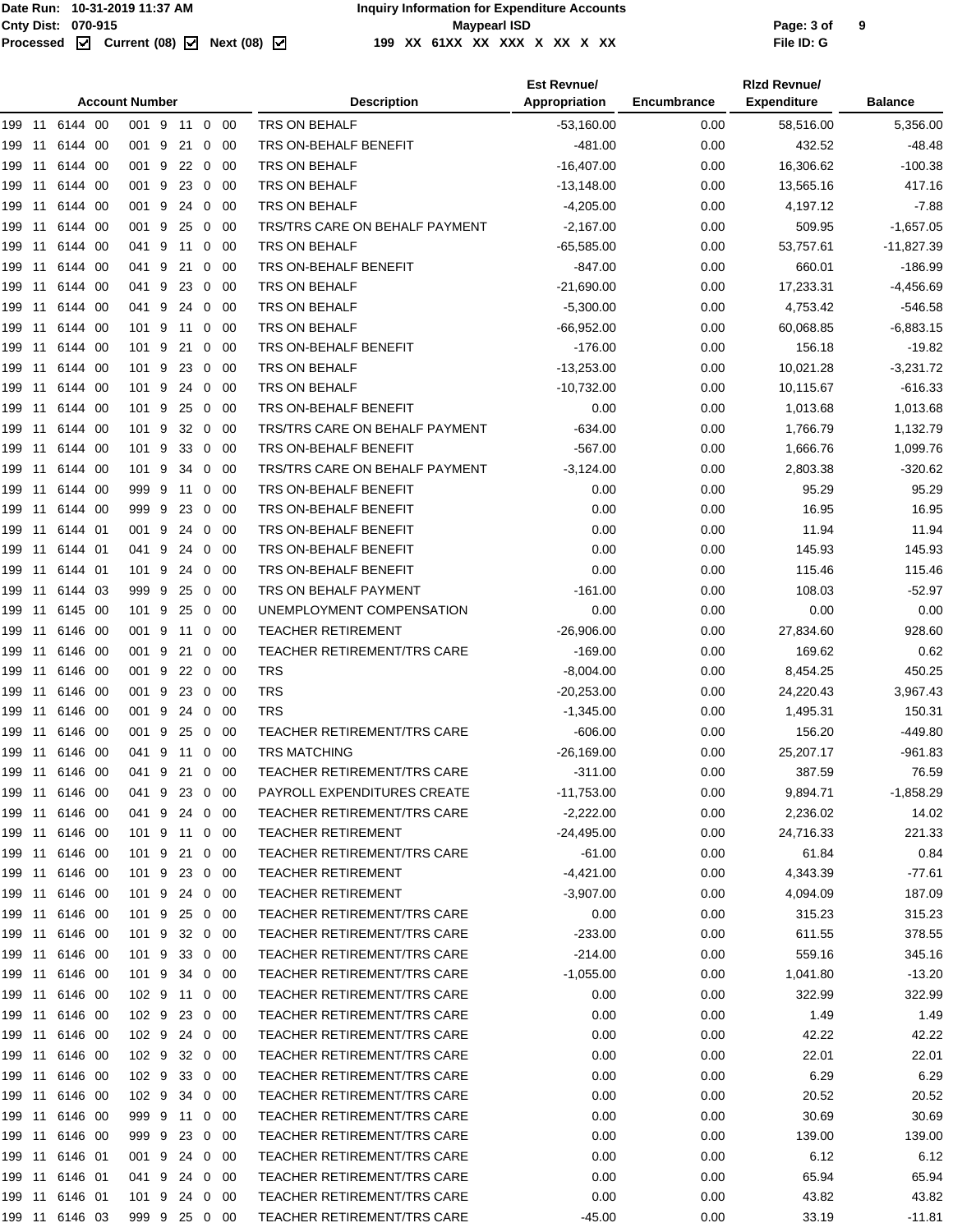|        |     |                |      | <b>Account Number</b> |                 |                |             | <b>Description</b>                 | <b>Est Revnue/</b><br>Appropriation | <b>Encumbrance</b> | <b>Rizd Revnue/</b><br><b>Expenditure</b> | <b>Balance</b> |
|--------|-----|----------------|------|-----------------------|-----------------|----------------|-------------|------------------------------------|-------------------------------------|--------------------|-------------------------------------------|----------------|
|        |     | 199 11 6144 00 |      | 001 9 11 0 00         |                 |                |             | TRS ON BEHALF                      | $-53,160.00$                        | 0.00               | 58,516.00                                 | 5,356.00       |
| 199 11 |     | 6144           | -00  | 001 9                 | 21              | 0              | -00         | TRS ON-BEHALF BENEFIT              | $-481.00$                           | 0.00               | 432.52                                    | $-48.48$       |
| 199 11 |     | 6144 00        |      | 001 9                 | 22 0            |                | -00         | TRS ON BEHALF                      | $-16,407.00$                        | 0.00               | 16,306.62                                 | -100.38        |
| 199 11 |     | 6144 00        |      | 001 9                 | 23              | $\mathbf 0$    | -00         | TRS ON BEHALF                      | $-13,148.00$                        | 0.00               | 13,565.16                                 | 417.16         |
| 199 11 |     | 6144 00        |      | 001 9                 | 24 0            |                | -00         | <b>TRS ON BEHALF</b>               | $-4,205.00$                         | 0.00               | 4,197.12                                  | $-7.88$        |
| 199 11 |     | 6144 00        |      | 001 9                 | 25              | 0              | -00         | TRS/TRS CARE ON BEHALF PAYMENT     | $-2,167.00$                         | 0.00               | 509.95                                    | $-1,657.05$    |
| 199    | 11  | 6144           | 00   | 041 9                 | 11              | 0              | 00          | <b>TRS ON BEHALF</b>               | $-65,585.00$                        | 0.00               | 53,757.61                                 | $-11,827.39$   |
| 199    | -11 | 6144           | 00   | 041 9                 | 21              | 0              | 00          | TRS ON-BEHALF BENEFIT              | $-847.00$                           | 0.00               | 660.01                                    | $-186.99$      |
| 199 11 |     | 6144 00        |      | 041 9                 | 23              | $\overline{0}$ | -00         | TRS ON BEHALF                      | $-21,690.00$                        | 0.00               | 17,233.31                                 | $-4,456.69$    |
| 199 11 |     | 6144 00        |      | 041 9                 | 24              | 0              | 00          | TRS ON BEHALF                      | $-5,300.00$                         | 0.00               | 4,753.42                                  | $-546.58$      |
| 199 11 |     | 6144 00        |      | 101 9                 | 11 <sub>0</sub> |                | -00         | <b>TRS ON BEHALF</b>               | $-66,952.00$                        | 0.00               | 60,068.85                                 | $-6,883.15$    |
| 199 11 |     | 6144 00        |      | 101 9                 | 21              | 0              | -00         | TRS ON-BEHALF BENEFIT              | $-176.00$                           | 0.00               | 156.18                                    | $-19.82$       |
| 199    | 11  | 6144           | 00   | 101 9                 | 23              | 0              | 00          | TRS ON BEHALF                      | $-13,253.00$                        | 0.00               | 10,021.28                                 | $-3,231.72$    |
| 199 11 |     | 6144           | -00  | 101 9                 | 24              | 0              | 00          | TRS ON BEHALF                      | $-10,732.00$                        | 0.00               | 10,115.67                                 | $-616.33$      |
| 199 11 |     | 6144 00        |      | 101 9                 | 25              | $\overline{0}$ | -00         | TRS ON-BEHALF BENEFIT              | 0.00                                | 0.00               | 1,013.68                                  | 1,013.68       |
| 199 11 |     | 6144 00        |      | 101 9                 | 32              | 0              | 00          | TRS/TRS CARE ON BEHALF PAYMENT     | $-634.00$                           | 0.00               | 1,766.79                                  | 1,132.79       |
| 199 11 |     | 6144 00        |      | 101 9                 | 330             |                | - 00        | TRS ON-BEHALF BENEFIT              | $-567.00$                           | 0.00               | 1,666.76                                  | 1,099.76       |
| 199 11 |     | 6144 00        |      | 101 9                 | 34              | 0              | -00         | TRS/TRS CARE ON BEHALF PAYMENT     | $-3,124.00$                         | 0.00               | 2,803.38                                  | $-320.62$      |
| 199    | 11  | 6144           | 00   | 999 9                 | 11              | 0              | 00          | TRS ON-BEHALF BENEFIT              | 0.00                                | 0.00               | 95.29                                     | 95.29          |
| 199    | -11 | 6144           | -00  | 999 9                 | 23              | 0              | 00          | TRS ON-BEHALF BENEFIT              | 0.00                                | 0.00               | 16.95                                     | 16.95          |
| 199 11 |     | 6144 01        |      | 001 9                 | 24              | $\overline{0}$ | -00         | TRS ON-BEHALF BENEFIT              | 0.00                                | 0.00               | 11.94                                     | 11.94          |
| 199 11 |     | 6144 01        |      | 041 9                 | 24              | 0              | 00          | TRS ON-BEHALF BENEFIT              | 0.00                                | 0.00               | 145.93                                    | 145.93         |
| 199 11 |     | 6144 01        |      | 101 9                 | 24              | $\overline{0}$ | 00          | TRS ON-BEHALF BENEFIT              | 0.00                                | 0.00               | 115.46                                    | 115.46         |
| 199 11 |     | 6144 03        |      | 9999                  | 25              | 0              | -00         | TRS ON BEHALF PAYMENT              | $-161.00$                           | 0.00               | 108.03                                    | $-52.97$       |
| 199    | 11  | 6145           | - 00 | 101 9                 | 25              | 0              | 00          | UNEMPLOYMENT COMPENSATION          | 0.00                                | 0.00               | 0.00                                      | 0.00           |
| 199 11 |     | 6146           | - 00 | 001 9                 | 11              | 0              | 00          | <b>TEACHER RETIREMENT</b>          | $-26,906.00$                        | 0.00               | 27,834.60                                 | 928.60         |
| 199 11 |     | 6146 00        |      | 001 9                 | 21              | 0              | -00         | <b>TEACHER RETIREMENT/TRS CARE</b> | $-169.00$                           | 0.00               | 169.62                                    | 0.62           |
| 199 11 |     | 6146 00        |      | 001 9                 | 22              | $\mathbf 0$    | -00         | <b>TRS</b>                         | $-8,004.00$                         | 0.00               | 8,454.25                                  | 450.25         |
| 199 11 |     | 6146 00        |      | 001 9                 | 23 0            |                | - 00        | <b>TRS</b>                         | $-20.253.00$                        | 0.00               | 24,220.43                                 | 3,967.43       |
| 199 11 |     | 6146 00        |      | 001 9                 | 24 0            |                | - 00        | <b>TRS</b>                         | $-1,345.00$                         | 0.00               | 1,495.31                                  | 150.31         |
| 199 11 |     | 6146           | - 00 | 001 9                 | 25              | 0              | 00          | TEACHER RETIREMENT/TRS CARE        | $-606.00$                           | 0.00               | 156.20                                    | $-449.80$      |
|        |     | 199 11 6146 00 |      | 041 9 11 0 00         |                 |                |             | <b>TRS MATCHING</b>                | $-26,169.00$                        | 0.00               | 25,207.17                                 | $-961.83$      |
| 199 11 |     | 6146 00        |      | 041 9 21 0            |                 |                | 00          | TEACHER RETIREMENT/TRS CARE        | $-311.00$                           | 0.00               | 387.59                                    | 76.59          |
| 199 11 |     | 6146 00        |      | 041 9                 | 23 0 00         |                |             | PAYROLL EXPENDITURES CREATE        | $-11,753.00$                        | 0.00               | 9,894.71                                  | $-1,858.29$    |
| 199 11 |     | 6146 00        |      | 041 9                 | 24 0 00         |                |             | <b>TEACHER RETIREMENT/TRS CARE</b> | $-2,222.00$                         | 0.00               | 2,236.02                                  | 14.02          |
| 199 11 |     | 6146 00        |      | 101 9 11 0 00         |                 |                |             | <b>TEACHER RETIREMENT</b>          | $-24,495.00$                        | 0.00               | 24,716.33                                 | 221.33         |
| 199 11 |     | 6146 00        |      | 101 9                 | 21              | 0              | - 00        | TEACHER RETIREMENT/TRS CARE        | $-61.00$                            | 0.00               | 61.84                                     | 0.84           |
| 199 11 |     | 6146 00        |      | 101 9                 | 23 0            |                | - 00        | <b>TEACHER RETIREMENT</b>          | $-4,421.00$                         | 0.00               | 4,343.39                                  | $-77.61$       |
| 199 11 |     | 6146 00        |      | 101 9                 | 24 0 00         |                |             | <b>TEACHER RETIREMENT</b>          | $-3,907.00$                         | 0.00               | 4,094.09                                  | 187.09         |
| 199 11 |     | 6146 00        |      | 101 9                 | 25              |                | $0\quad 00$ | <b>TEACHER RETIREMENT/TRS CARE</b> | 0.00                                | 0.00               | 315.23                                    | 315.23         |
| 199 11 |     | 6146 00        |      | 101 9                 | 32 0 00         |                |             | <b>TEACHER RETIREMENT/TRS CARE</b> | $-233.00$                           | 0.00               | 611.55                                    | 378.55         |
| 199 11 |     | 6146 00        |      | 101 9                 | 33 0 00         |                |             | <b>TEACHER RETIREMENT/TRS CARE</b> | $-214.00$                           | 0.00               | 559.16                                    | 345.16         |
| 199 11 |     | 6146 00        |      | 101 9                 | 34              | 0              | -00         | <b>TEACHER RETIREMENT/TRS CARE</b> | $-1,055.00$                         | 0.00               | 1,041.80                                  | $-13.20$       |
|        |     | 199 11 6146 00 |      | 102 9 11 0            |                 |                | - 00        | <b>TEACHER RETIREMENT/TRS CARE</b> | 0.00                                | 0.00               | 322.99                                    | 322.99         |
| 199 11 |     | 6146 00        |      | 102 9                 | 23 0 00         |                |             | <b>TEACHER RETIREMENT/TRS CARE</b> | 0.00                                | 0.00               | 1.49                                      | 1.49           |
| 199 11 |     | 6146 00        |      | 102 9                 | 24 0 00         |                |             | TEACHER RETIREMENT/TRS CARE        | 0.00                                | 0.00               | 42.22                                     | 42.22          |
| 199 11 |     | 6146 00        |      | 102 9                 | 32 0 00         |                |             | <b>TEACHER RETIREMENT/TRS CARE</b> | 0.00                                | 0.00               | 22.01                                     | 22.01          |
| 199 11 |     | 6146 00        |      | 102 9                 | 33 0 00         |                |             | <b>TEACHER RETIREMENT/TRS CARE</b> | 0.00                                | 0.00               | 6.29                                      | 6.29           |
| 199 11 |     | 6146 00        |      | 102 9                 | 34              | 0              | - 00        | TEACHER RETIREMENT/TRS CARE        | 0.00                                | 0.00               | 20.52                                     | 20.52          |
| 199 11 |     | 6146 00        |      | 999 9                 | 11 0            |                | - 00        | TEACHER RETIREMENT/TRS CARE        | 0.00                                | 0.00               | 30.69                                     | 30.69          |
| 199 11 |     | 6146 00        |      | 999 9                 | 23 0 00         |                |             | <b>TEACHER RETIREMENT/TRS CARE</b> | 0.00                                | 0.00               | 139.00                                    | 139.00         |
| 199 11 |     | 6146 01        |      | 001 9                 | 24              |                | $0\quad 00$ | TEACHER RETIREMENT/TRS CARE        | 0.00                                | 0.00               | 6.12                                      | 6.12           |
| 199 11 |     | 6146 01        |      | 041 9                 | 24 0 00         |                |             | TEACHER RETIREMENT/TRS CARE        | 0.00                                | 0.00               | 65.94                                     | 65.94          |
| 199 11 |     | 6146 01        |      | 101 9 24 0 00         |                 |                |             | <b>TEACHER RETIREMENT/TRS CARE</b> | 0.00                                | 0.00               | 43.82                                     | 43.82          |
| 199 11 |     | 6146 03        |      | 999 9 25 0 00         |                 |                |             | TEACHER RETIREMENT/TRS CARE        | -45.00                              | 0.00               | 33.19                                     | $-11.81$       |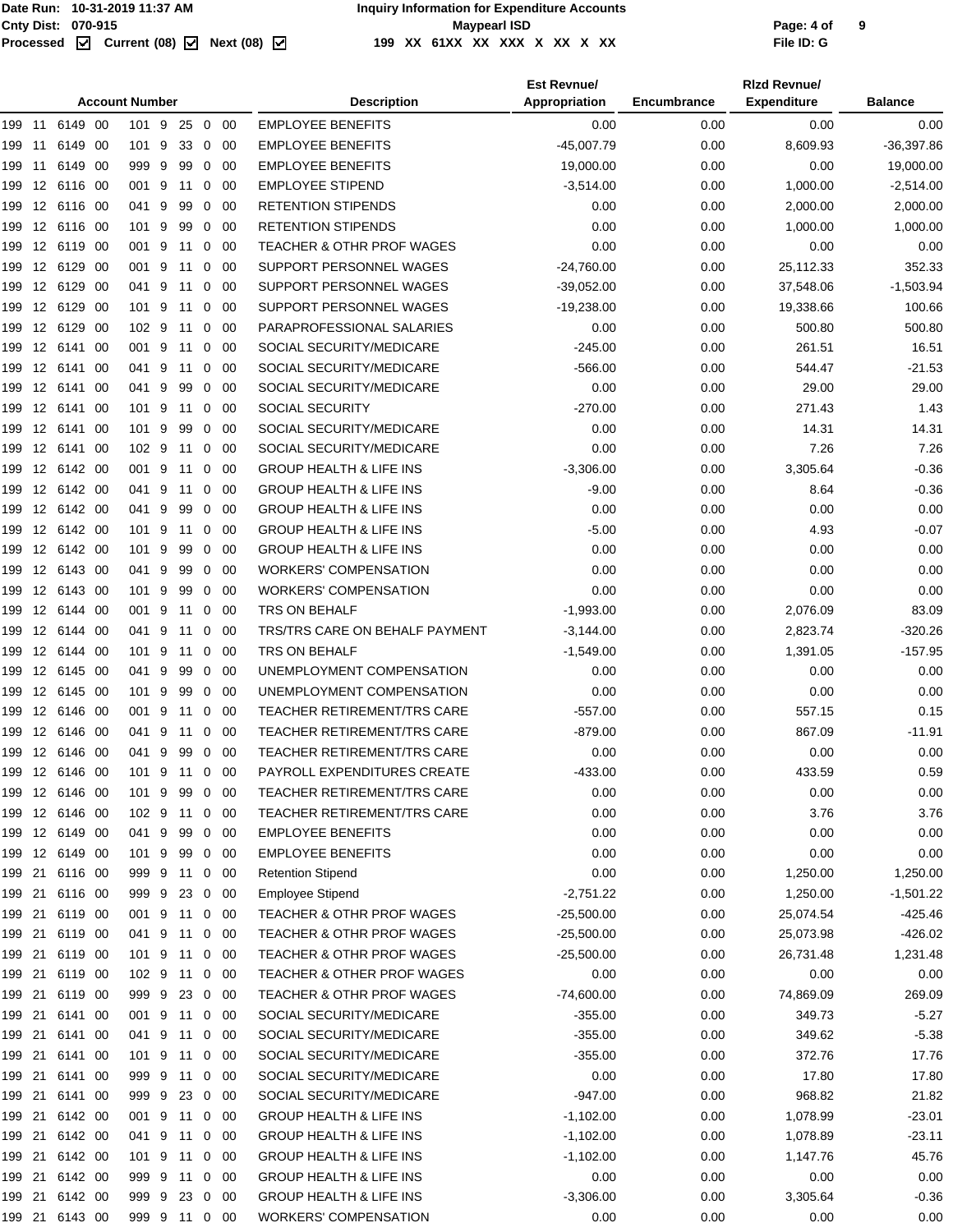|        |                   |                |      | <b>Account Number</b> |         |                |             | <b>Description</b>                    | <b>Est Revnue/</b><br>Appropriation | Encumbrance | <b>Rizd Revnuel</b><br><b>Expenditure</b> | <b>Balance</b> |
|--------|-------------------|----------------|------|-----------------------|---------|----------------|-------------|---------------------------------------|-------------------------------------|-------------|-------------------------------------------|----------------|
| 199    | 11                | 6149 00        |      | 101 9                 | 25      | $\overline{0}$ | 00          | <b>EMPLOYEE BENEFITS</b>              | 0.00                                | 0.00        | 0.00                                      | 0.00           |
| 199    | -11               | 6149           | -00  | 101 9                 | 33      | $\mathbf 0$    | -00         | <b>EMPLOYEE BENEFITS</b>              | $-45,007.79$                        | 0.00        | 8,609.93                                  | $-36,397.86$   |
|        |                   |                |      |                       |         | $\mathbf 0$    |             |                                       |                                     |             |                                           |                |
| 199    | -11               | 6149           | - 00 | 999 9                 | 99      |                | 00          | <b>EMPLOYEE BENEFITS</b>              | 19,000.00                           | 0.00        | 0.00                                      | 19,000.00      |
| 199    | $12 \overline{ }$ | 6116 00        |      | 001 9                 | 11      | 0              | -00         | <b>EMPLOYEE STIPEND</b>               | $-3,514.00$                         | 0.00        | 1,000.00                                  | $-2,514.00$    |
| 199    |                   | 12 6116 00     |      | 041 9                 | 99      | 0              | -00         | <b>RETENTION STIPENDS</b>             | 0.00                                | 0.00        | 2,000.00                                  | 2,000.00       |
| 199    | $12 \overline{ }$ | 6116 00        |      | 101 9                 | 99      | 0              | 00          | <b>RETENTION STIPENDS</b>             | 0.00                                | 0.00        | 1,000.00                                  | 1,000.00       |
| 199    | 12                | 6119 00        |      | 001 9                 | 11      | $\mathbf 0$    | 00          | <b>TEACHER &amp; OTHR PROF WAGES</b>  | 0.00                                | 0.00        | 0.00                                      | 0.00           |
| 199    |                   | 12 6129 00     |      | 001 9                 | 11      | 0              | -00         | SUPPORT PERSONNEL WAGES               | $-24,760.00$                        | 0.00        | 25,112.33                                 | 352.33         |
| 199    | $12 \overline{ }$ | 6129 00        |      | 041 9                 | 11      | 0              | -00         | SUPPORT PERSONNEL WAGES               | $-39,052.00$                        | 0.00        | 37,548.06                                 | $-1,503.94$    |
| 199    |                   | 12 6129 00     |      | 101 9                 | 11      | 0              | 00          | SUPPORT PERSONNEL WAGES               | $-19,238.00$                        | 0.00        | 19,338.66                                 | 100.66         |
| 199    |                   | 12 6129 00     |      | 102 9                 | 11      | 0              | -00         | PARAPROFESSIONAL SALARIES             | 0.00                                | 0.00        | 500.80                                    | 500.80         |
| 199    | $12 \overline{ }$ | 6141           | -00  | 001 9                 | 11      | 0              | 00          | SOCIAL SECURITY/MEDICARE              | $-245.00$                           | 0.00        | 261.51                                    | 16.51          |
| 199    | 12                | 6141           | - 00 | 041 9                 | 11      | 0              | 00          | SOCIAL SECURITY/MEDICARE              | $-566.00$                           | 0.00        | 544.47                                    | $-21.53$       |
| 199    |                   | 12 6141        | -00  | 041 9                 | 99      | 0              | -00         | SOCIAL SECURITY/MEDICARE              | 0.00                                | 0.00        | 29.00                                     | 29.00          |
| 199    | $12 \overline{ }$ | 6141           | - 00 | 101 9                 | 11      | $\mathbf 0$    | 00          | <b>SOCIAL SECURITY</b>                | $-270.00$                           | 0.00        | 271.43                                    | 1.43           |
| 199    |                   | 12 6141 00     |      | 101 9                 | 99      | $\mathbf{0}$   | 00          | SOCIAL SECURITY/MEDICARE              | 0.00                                | 0.00        | 14.31                                     | 14.31          |
| 199    |                   | 12 6141        | - 00 | 102 9                 | 11      | $\mathbf 0$    | -00         | SOCIAL SECURITY/MEDICARE              | 0.00                                | 0.00        | 7.26                                      | 7.26           |
| 199    | $12 \overline{ }$ | 6142 00        |      | 001 9                 | 11      | 0              | 00          | <b>GROUP HEALTH &amp; LIFE INS</b>    | $-3,306.00$                         | 0.00        | 3,305.64                                  | $-0.36$        |
| 199    |                   | 12 6142 00     |      | 041 9                 | 11      | 0              | 00          | <b>GROUP HEALTH &amp; LIFE INS</b>    | $-9.00$                             | 0.00        | 8.64                                      | $-0.36$        |
| 199    |                   | 12 6142 00     |      | 041 9                 | 99      | 0              | -00         | <b>GROUP HEALTH &amp; LIFE INS</b>    | 0.00                                | 0.00        | 0.00                                      | 0.00           |
| 199    |                   | 12 6142 00     |      | 101 9                 | 11      | 0              | -00         | <b>GROUP HEALTH &amp; LIFE INS</b>    | $-5.00$                             | 0.00        | 4.93                                      | $-0.07$        |
| 199    |                   | 12 6142 00     |      | 101 9                 | 99      | 0              | 00          | <b>GROUP HEALTH &amp; LIFE INS</b>    | 0.00                                | 0.00        | 0.00                                      | 0.00           |
| 199    |                   | 12 6143 00     |      | 041 9                 | 99      | $\mathbf{0}$   | -00         | <b>WORKERS' COMPENSATION</b>          | 0.00                                | 0.00        | 0.00                                      | 0.00           |
| 199    | $12 \overline{ }$ | 6143 00        |      | 101 9                 | 99      | $\mathbf 0$    | 00          | <b>WORKERS' COMPENSATION</b>          | 0.00                                | 0.00        | 0.00                                      | 0.00           |
| 199    | 12                | 6144 00        |      | 001 9                 | 11      | $\mathbf 0$    | 00          | TRS ON BEHALF                         | $-1,993.00$                         | 0.00        | 2,076.09                                  | 83.09          |
| 199    |                   | 12 6144 00     |      | 041 9                 | 11      | 0              | -00         | TRS/TRS CARE ON BEHALF PAYMENT        |                                     | 0.00        | 2,823.74                                  | $-320.26$      |
|        |                   |                |      |                       |         |                |             |                                       | $-3,144.00$                         |             |                                           |                |
| 199    | $12 \overline{ }$ | 6144 00        |      | 101 9                 | 11      | $\mathbf 0$    | 00          | TRS ON BEHALF                         | $-1,549.00$                         | 0.00        | 1,391.05                                  | $-157.95$      |
| 199    |                   | 12 6145 00     |      | 041 9                 | 99      | 0              | 00          | UNEMPLOYMENT COMPENSATION             | 0.00                                | 0.00        | 0.00                                      | 0.00           |
| 199    |                   | 12 6145 00     |      | 101 9                 | 99      | 0              | -00         | UNEMPLOYMENT COMPENSATION             | 0.00                                | 0.00        | 0.00                                      | 0.00           |
| 199    | $12 \overline{ }$ | 6146 00        |      | 001 9                 | 11      | 0              | 00          | <b>TEACHER RETIREMENT/TRS CARE</b>    | $-557.00$                           | 0.00        | 557.15                                    | 0.15           |
| 199    | 12                | 6146 00        |      | 041 9                 | 11      | 0              | 00          | <b>TEACHER RETIREMENT/TRS CARE</b>    | $-879.00$                           | 0.00        | 867.09                                    | $-11.91$       |
| 199    |                   | 12 6146 00     |      | 041 9                 | 99      | 0              | -00         | TEACHER RETIREMENT/TRS CARE           | 0.00                                | 0.00        | 0.00                                      | 0.00           |
|        |                   | 199 12 6146 00 |      | 101 9                 | 11      | $\overline{0}$ | -00         | PAYROLL EXPENDITURES CREATE           | $-433.00$                           | 0.00        | 433.59                                    | 0.59           |
|        |                   | 199 12 6146 00 |      | 101 9                 | 99      |                | $0\quad 00$ | TEACHER RETIREMENT/TRS CARE           | 0.00                                | 0.00        | 0.00                                      | 0.00           |
|        |                   | 199 12 6146 00 |      | 102 9 11              |         | $\overline{0}$ | - 00        | TEACHER RETIREMENT/TRS CARE           | 0.00                                | 0.00        | 3.76                                      | 3.76           |
|        |                   | 199 12 6149 00 |      | 041 9                 | 99      |                | $0\quad 00$ | <b>EMPLOYEE BENEFITS</b>              | 0.00                                | 0.00        | 0.00                                      | 0.00           |
|        |                   | 199 12 6149 00 |      | 101 9                 | 99      |                | $0\quad 00$ | <b>EMPLOYEE BENEFITS</b>              | 0.00                                | 0.00        | 0.00                                      | 0.00           |
| 199 21 |                   | 6116 00        |      | 999 9 11              |         |                | $0\quad 00$ | <b>Retention Stipend</b>              | 0.00                                | 0.00        | 1,250.00                                  | 1,250.00       |
| 199 21 |                   | 6116 00        |      | 999 9                 | 23      |                | $0\quad 00$ | <b>Employee Stipend</b>               | $-2,751.22$                         | 0.00        | 1,250.00                                  | $-1,501.22$    |
| 199 21 |                   | 6119 00        |      | 001 9 11 0 00         |         |                |             | TEACHER & OTHR PROF WAGES             | $-25,500.00$                        | 0.00        | 25,074.54                                 | $-425.46$      |
| 199 21 |                   | 6119 00        |      | 041 9 11              |         |                | $0\quad 00$ | TEACHER & OTHR PROF WAGES             | $-25,500.00$                        | 0.00        | 25,073.98                                 | $-426.02$      |
| 199 21 |                   | 6119 00        |      | 101 9                 | 11      |                | $0\quad 00$ | TEACHER & OTHR PROF WAGES             | $-25,500.00$                        | 0.00        | 26,731.48                                 | 1,231.48       |
| 199 21 |                   | 6119 00        |      | 102 9                 | 11      |                | $0\quad 00$ | <b>TEACHER &amp; OTHER PROF WAGES</b> | 0.00                                | 0.00        | 0.00                                      | 0.00           |
| 199 21 |                   | 6119 00        |      | 999 9                 | 23 0 00 |                |             | TEACHER & OTHR PROF WAGES             | $-74,600.00$                        | 0.00        | 74,869.09                                 | 269.09         |
| 199 21 |                   | 6141 00        |      | 001 9                 | 11      |                | $0\quad 00$ | SOCIAL SECURITY/MEDICARE              | $-355.00$                           | 0.00        | 349.73                                    | $-5.27$        |
| 199 21 |                   | 6141 00        |      | 041 9 11              |         |                | $0\quad 00$ | SOCIAL SECURITY/MEDICARE              | $-355.00$                           | 0.00        | 349.62                                    | $-5.38$        |
|        | 199 21            | 6141 00        |      | 101 9 11              |         |                | $0\quad 00$ | SOCIAL SECURITY/MEDICARE              | $-355.00$                           | 0.00        | 372.76                                    | 17.76          |
| 199 21 |                   | 6141 00        |      | 999 9                 | 11      | $\mathbf 0$    | - 00        | SOCIAL SECURITY/MEDICARE              | 0.00                                | 0.00        | 17.80                                     | 17.80          |
| 199 21 |                   | 6141 00        |      | 999 9                 | 23 0 00 |                |             | SOCIAL SECURITY/MEDICARE              | $-947.00$                           | 0.00        | 968.82                                    | 21.82          |
| 199 21 |                   | 6142 00        |      | 001 9 11 0 00         |         |                |             | <b>GROUP HEALTH &amp; LIFE INS</b>    | $-1,102.00$                         | 0.00        | 1,078.99                                  | $-23.01$       |
| 199 21 |                   | 6142 00        |      | 041 9                 | 11      |                | $0\quad 00$ | <b>GROUP HEALTH &amp; LIFE INS</b>    | $-1,102.00$                         | 0.00        | 1,078.89                                  | $-23.11$       |
| 199 21 |                   | 6142 00        |      |                       |         |                |             | <b>GROUP HEALTH &amp; LIFE INS</b>    |                                     |             |                                           |                |
|        |                   |                |      | 101 9 11 0 00         |         |                |             |                                       | $-1,102.00$                         | 0.00        | 1,147.76                                  | 45.76          |
| 199 21 |                   | 6142 00        |      | 999 9 11 0 00         |         |                |             | <b>GROUP HEALTH &amp; LIFE INS</b>    | 0.00                                | 0.00        | 0.00                                      | 0.00           |
| 199 21 |                   | 6142 00        |      | 999 9                 | 23 0 00 |                |             | <b>GROUP HEALTH &amp; LIFE INS</b>    | $-3,306.00$                         | 0.00        | 3,305.64                                  | $-0.36$        |
|        |                   | 199 21 6143 00 |      | 999 9 11 0 00         |         |                |             | <b>WORKERS' COMPENSATION</b>          | 0.00                                | 0.00        | 0.00                                      | 0.00           |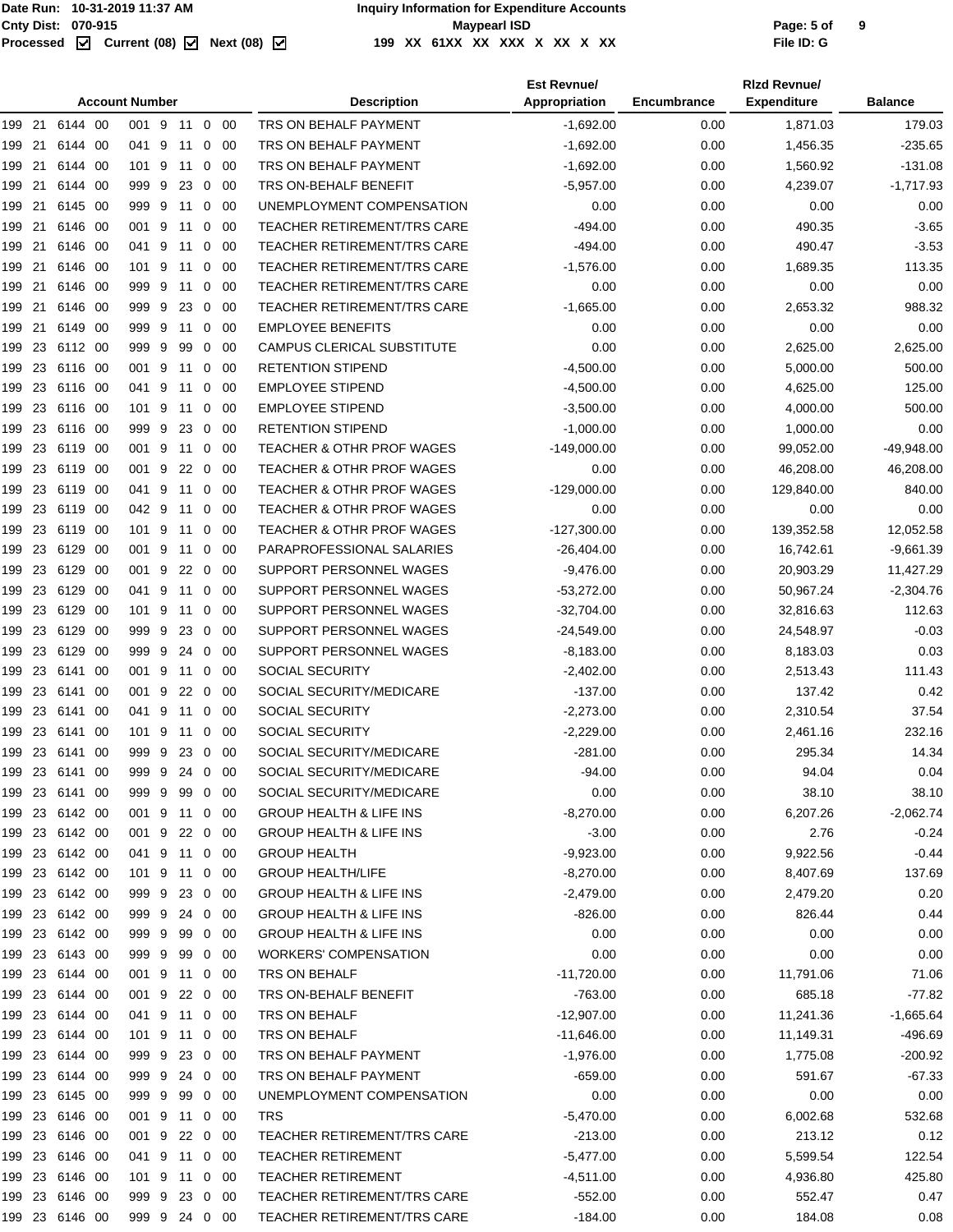|                 |                    |      | <b>Account Number</b> |            |                |     | <b>Description</b>                   | <b>Est Revnue/</b><br>Appropriation | Encumbrance  | <b>Rizd Revnue/</b><br><b>Expenditure</b> | <b>Balance</b> |
|-----------------|--------------------|------|-----------------------|------------|----------------|-----|--------------------------------------|-------------------------------------|--------------|-------------------------------------------|----------------|
| 199 21          | 6144 00            |      | 001 9                 | 11 0 00    |                |     | TRS ON BEHALF PAYMENT                | $-1,692.00$                         | 0.00         | 1,871.03                                  | 179.03         |
| 199 21          | 6144 00            |      | 041 9                 | 11         | $\mathbf 0$    | -00 | TRS ON BEHALF PAYMENT                | $-1,692.00$                         | 0.00         | 1,456.35                                  | $-235.65$      |
| 21<br>199       | 6144 00            |      | 101 9                 | 11 0       |                | -00 | TRS ON BEHALF PAYMENT                | $-1,692.00$                         | 0.00         | 1,560.92                                  | $-131.08$      |
| 21<br>199       | 6144 00            |      | 999 9                 | 23         | 0              | -00 | TRS ON-BEHALF BENEFIT                | $-5,957.00$                         | 0.00         | 4,239.07                                  | $-1,717.93$    |
| 21<br>199       | 6145 00            |      | 999 9                 | 11         | 0              | -00 | UNEMPLOYMENT COMPENSATION            | 0.00                                | 0.00         | 0.00                                      | 0.00           |
| 21<br>199       | 6146 00            |      | 001 9                 | 11         | $\mathbf 0$    | -00 | <b>TEACHER RETIREMENT/TRS CARE</b>   | $-494.00$                           | 0.00         | 490.35                                    | $-3.65$        |
| 21<br>199       | 6146 00            |      | 041 9                 | 11         | 0              | -00 | <b>TEACHER RETIREMENT/TRS CARE</b>   | $-494.00$                           | 0.00         | 490.47                                    | $-3.53$        |
| 21<br>199       | 6146 00            |      | 101 9                 | 11         | $\mathbf 0$    | -00 | <b>TEACHER RETIREMENT/TRS CARE</b>   | $-1,576.00$                         | 0.00         | 1,689.35                                  | 113.35         |
| 199 21          | 6146 00            |      | 999 9                 | 11         | $\overline{0}$ | 00  | <b>TEACHER RETIREMENT/TRS CARE</b>   | 0.00                                | 0.00         | 0.00                                      | 0.00           |
| 21<br>199       | 6146 00            |      | 999 9                 | 23         | 0              | -00 | <b>TEACHER RETIREMENT/TRS CARE</b>   | $-1,665.00$                         | 0.00         | 2,653.32                                  | 988.32         |
| 21<br>199       | 6149               | - 00 | 999 9                 | 11         | 0              | -00 | <b>EMPLOYEE BENEFITS</b>             | 0.00                                | 0.00         | 0.00                                      | 0.00           |
| -23<br>199      | 6112 00            |      | 999 9                 | 99         | $\mathbf 0$    | -00 | CAMPUS CLERICAL SUBSTITUTE           | 0.00                                | 0.00         | 2,625.00                                  | 2,625.00       |
| 23<br>199       | 6116 00            |      | 001 9                 | 11         | $\mathbf{0}$   | -00 | <b>RETENTION STIPEND</b>             | $-4,500.00$                         | 0.00         | 5,000.00                                  | 500.00         |
| 23<br>199       | 6116 00            |      | 041 9                 | 11         | $\mathbf 0$    | -00 | <b>EMPLOYEE STIPEND</b>              | $-4,500.00$                         | 0.00         | 4,625.00                                  | 125.00         |
| 23<br>199       | 6116 00            |      | 101 9                 | 11         | $\mathbf 0$    | 00  | <b>EMPLOYEE STIPEND</b>              | $-3,500.00$                         | 0.00         | 4,000.00                                  | 500.00         |
| 23<br>199       | 6116 00            |      | 999 9                 | 23         | 0              | -00 | <b>RETENTION STIPEND</b>             | $-1,000.00$                         | 0.00         | 1,000.00                                  | 0.00           |
| 23<br>199       | 6119 00            |      | 001 9                 | 11         | 0              | -00 | <b>TEACHER &amp; OTHR PROF WAGES</b> | $-149,000.00$                       | 0.00         | 99,052.00                                 | $-49,948.00$   |
| 23<br>199       | 6119 00            |      | 001 9                 | $22\quad0$ |                | -00 | <b>TEACHER &amp; OTHR PROF WAGES</b> | 0.00                                | 0.00         | 46,208.00                                 | 46,208.00      |
| 23<br>199       | 6119 00            |      | 041 9                 | 11         | $\mathbf 0$    | -00 | <b>TEACHER &amp; OTHR PROF WAGES</b> | $-129,000.00$                       | 0.00         | 129,840.00                                | 840.00         |
| 23<br>199       | 6119 00            |      | 042 9                 | 11         | $\mathbf 0$    | -00 | <b>TEACHER &amp; OTHR PROF WAGES</b> | 0.00                                | 0.00         | 0.00                                      | 0.00           |
| 23<br>199       | 6119 00            |      | 101 9                 | 11         | $\overline{0}$ | -00 | <b>TEACHER &amp; OTHR PROF WAGES</b> | $-127,300.00$                       | 0.00         | 139,352.58                                | 12,052.58      |
| 23<br>199       | 6129 00            |      | 001 9                 | 11         | $\mathbf 0$    | -00 | PARAPROFESSIONAL SALARIES            | $-26,404.00$                        | 0.00         | 16,742.61                                 | $-9,661.39$    |
| 23<br>199       | 6129               | - 00 | 001 9                 | 22         | $\mathbf 0$    | -00 | SUPPORT PERSONNEL WAGES              | $-9,476.00$                         | 0.00         | 20,903.29                                 | 11,427.29      |
|                 |                    |      | 041 9                 |            |                |     | SUPPORT PERSONNEL WAGES              |                                     |              |                                           | $-2,304.76$    |
| 23<br>199<br>23 | 6129 00<br>6129 00 |      | 101 9                 | 11         | 0              | -00 | SUPPORT PERSONNEL WAGES              | $-53,272.00$                        | 0.00<br>0.00 | 50,967.24                                 | 112.63         |
| 199             |                    |      |                       | 11         | 0              | -00 |                                      | $-32,704.00$                        |              | 32,816.63                                 |                |
| 23<br>199       | 6129 00            |      | 999 9                 | 23         | $\mathbf 0$    | -00 | SUPPORT PERSONNEL WAGES              | $-24,549.00$                        | 0.00         | 24,548.97                                 | $-0.03$        |
| 23<br>199       | 6129 00            |      | 999 9                 | 24         | $\mathbf 0$    | 00  | SUPPORT PERSONNEL WAGES              | $-8,183.00$                         | 0.00         | 8,183.03                                  | 0.03           |
| 23<br>199       | 6141 00            |      | 001 9                 | 11         | 0              | -00 | <b>SOCIAL SECURITY</b>               | $-2,402.00$                         | 0.00         | 2,513.43                                  | 111.43         |
| 23<br>199       | 6141 00            |      | 001 9                 | 22         | 0              | 00  | SOCIAL SECURITY/MEDICARE             | $-137.00$                           | 0.00         | 137.42                                    | 0.42           |
| 23<br>199       | 6141 00            |      | 041 9                 | 11         | $\mathbf 0$    | -00 | <b>SOCIAL SECURITY</b>               | $-2,273.00$                         | 0.00         | 2,310.54                                  | 37.54          |
| 23<br>199       | 6141               | - 00 | 101 9                 | 11         | 0              | 00  | <b>SOCIAL SECURITY</b>               | $-2,229.00$                         | 0.00         | 2,461.16                                  | 232.16         |
| 199 23          | 6141 00            |      | 999 9                 | 23         | $\mathbf 0$    | -00 | SOCIAL SECURITY/MEDICARE             | $-281.00$                           | 0.00         | 295.34                                    | 14.34          |
| 199 23 6141 00  |                    |      | 999 9                 | 24 0 00    |                |     | SOCIAL SECURITY/MEDICARE             | $-94.00$                            | 0.00         | 94.04                                     | 0.04           |
| 199 23 6141 00  |                    |      | 999 9 99 0 00         |            |                |     | SOCIAL SECURITY/MEDICARE             | 0.00                                | 0.00         | 38.10                                     | 38.10          |
| 199 23 6142 00  |                    |      | 001 9 11 0 00         |            |                |     | <b>GROUP HEALTH &amp; LIFE INS</b>   | $-8,270.00$                         | 0.00         | 6,207.26                                  | $-2,062.74$    |
| 199 23 6142 00  |                    |      | 001 9 22 0 00         |            |                |     | <b>GROUP HEALTH &amp; LIFE INS</b>   | $-3.00$                             | 0.00         | 2.76                                      | $-0.24$        |
| 199 23          | 6142 00            |      | 041 9                 | 11 0 00    |                |     | <b>GROUP HEALTH</b>                  | $-9,923.00$                         | 0.00         | 9,922.56                                  | $-0.44$        |
| 199 23 6142 00  |                    |      | 101 9 11 0 00         |            |                |     | <b>GROUP HEALTH/LIFE</b>             | $-8,270.00$                         | 0.00         | 8,407.69                                  | 137.69         |
| 199 23 6142 00  |                    |      | 999 9 23 0 00         |            |                |     | <b>GROUP HEALTH &amp; LIFE INS</b>   | $-2,479.00$                         | 0.00         | 2,479.20                                  | 0.20           |
| 199 23          | 6142 00            |      | 999 9 24 0 00         |            |                |     | <b>GROUP HEALTH &amp; LIFE INS</b>   | -826.00                             | 0.00         | 826.44                                    | 0.44           |
| 199 23 6142 00  |                    |      | 999 9 99 0 00         |            |                |     | <b>GROUP HEALTH &amp; LIFE INS</b>   | 0.00                                | 0.00         | 0.00                                      | 0.00           |
| 199 23 6143 00  |                    |      | 999 9 99 0 00         |            |                |     | <b>WORKERS' COMPENSATION</b>         | 0.00                                | 0.00         | 0.00                                      | 0.00           |
| 199 23 6144 00  |                    |      | 001 9 11 0 00         |            |                |     | TRS ON BEHALF                        | $-11,720.00$                        | 0.00         | 11,791.06                                 | 71.06          |
| 199 23 6144 00  |                    |      | 001 9                 | 22 0 00    |                |     | TRS ON-BEHALF BENEFIT                | -763.00                             | 0.00         | 685.18                                    | $-77.82$       |
| 199 23 6144 00  |                    |      | 041 9 11 0 00         |            |                |     | TRS ON BEHALF                        | $-12,907.00$                        | 0.00         | 11,241.36                                 | $-1,665.64$    |
| 199 23 6144 00  |                    |      | 101 9 11 0 00         |            |                |     | TRS ON BEHALF                        | $-11,646.00$                        | 0.00         | 11,149.31                                 | $-496.69$      |
| 199 23 6144 00  |                    |      | 999 9                 | 23 0 00    |                |     | TRS ON BEHALF PAYMENT                | $-1,976.00$                         | 0.00         | 1,775.08                                  | $-200.92$      |
| 199 23 6144 00  |                    |      | 999 9 24 0 00         |            |                |     | TRS ON BEHALF PAYMENT                | $-659.00$                           | 0.00         | 591.67                                    | $-67.33$       |
| 199 23          | 6145 00            |      | 999 9                 | 99 0 00    |                |     | UNEMPLOYMENT COMPENSATION            | 0.00                                | 0.00         | 0.00                                      | 0.00           |
| 199 23          | 6146 00            |      | 001 9 11 0 00         |            |                |     | <b>TRS</b>                           | $-5,470.00$                         | 0.00         | 6,002.68                                  | 532.68         |
| 199 23 6146 00  |                    |      | 001 9 22 0 00         |            |                |     | <b>TEACHER RETIREMENT/TRS CARE</b>   | -213.00                             | 0.00         | 213.12                                    | 0.12           |
| 199 23          | 6146 00            |      | 041 9 11 0 00         |            |                |     | <b>TEACHER RETIREMENT</b>            | $-5,477.00$                         | 0.00         | 5,599.54                                  | 122.54         |
| 199 23 6146 00  |                    |      | 101 9 11 0 00         |            |                |     | <b>TEACHER RETIREMENT</b>            | -4,511.00                           | 0.00         | 4,936.80                                  | 425.80         |
| 199 23 6146 00  |                    |      | 999 9 23 0 00         |            |                |     | TEACHER RETIREMENT/TRS CARE          | $-552.00$                           | 0.00         | 552.47                                    | 0.47           |
| 199 23 6146 00  |                    |      | 999 9 24 0 00         |            |                |     | TEACHER RETIREMENT/TRS CARE          | $-184.00$                           | 0.00         | 184.08                                    | 0.08           |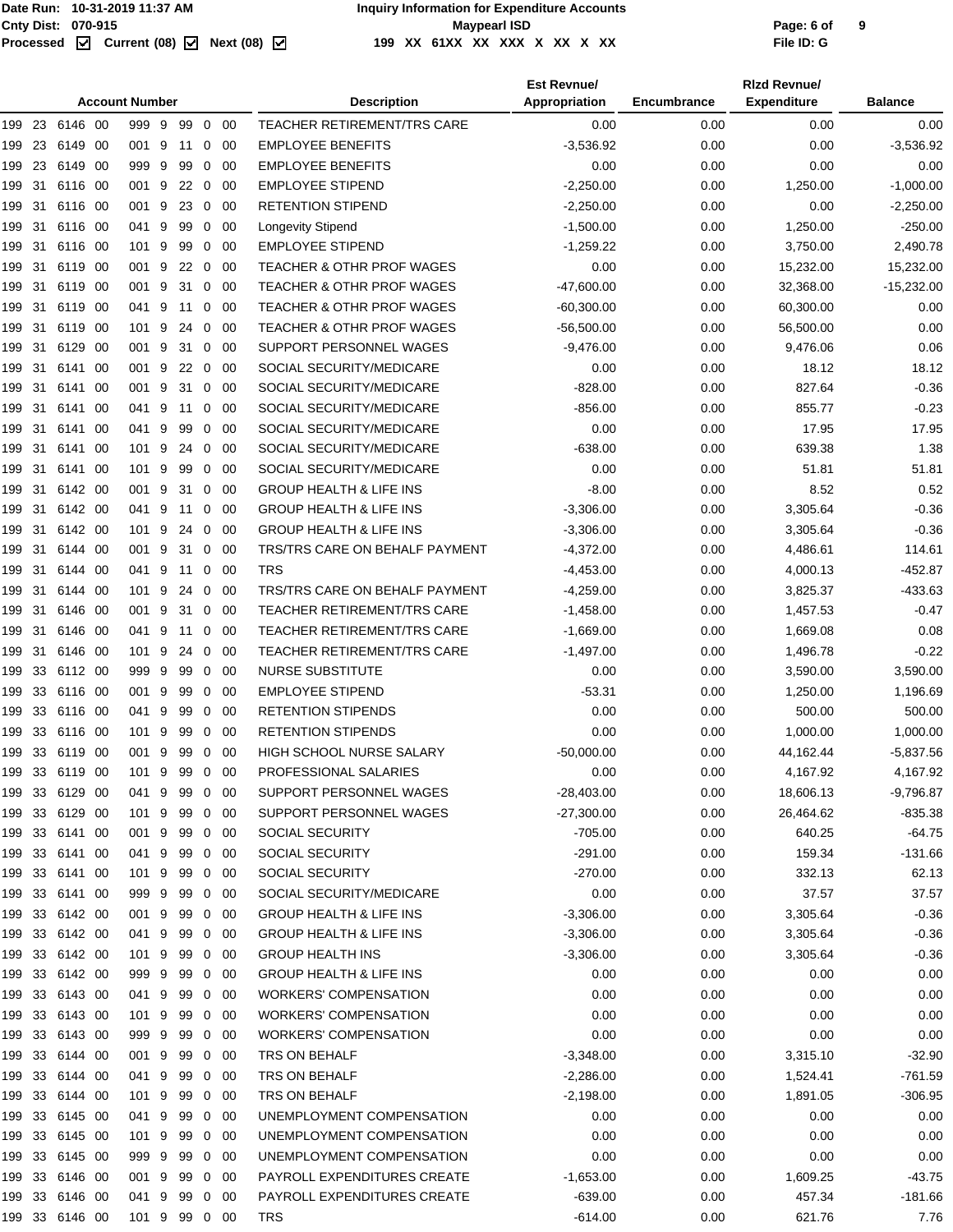|        |     |                |      | <b>Account Number</b> |   |    |                |             | <b>Description</b>                   | <b>Est Revnue/</b><br>Appropriation | Encumbrance | <b>Rizd Revnue/</b><br><b>Expenditure</b> | <b>Balance</b> |
|--------|-----|----------------|------|-----------------------|---|----|----------------|-------------|--------------------------------------|-------------------------------------|-------------|-------------------------------------------|----------------|
|        |     | 199 23 6146 00 |      | 999 9                 |   | 99 |                | $0\quad 00$ | TEACHER RETIREMENT/TRS CARE          | 0.00                                | 0.00        | 0.00                                      | 0.00           |
| 199    | 23  | 6149           | -00  | 001 9                 |   | 11 | 0              | 00          | <b>EMPLOYEE BENEFITS</b>             | $-3,536.92$                         | 0.00        | 0.00                                      | $-3,536.92$    |
| 199    | 23  | 6149           | -00  | 999 9                 |   | 99 | 0              | 00          | <b>EMPLOYEE BENEFITS</b>             | 0.00                                | 0.00        | 0.00                                      | 0.00           |
| 199    | 31  | 6116 00        |      | 001 9                 |   | 22 |                | $0\quad 00$ | <b>EMPLOYEE STIPEND</b>              | $-2,250.00$                         | 0.00        | 1,250.00                                  | $-1,000.00$    |
| 199    | 31  | 6116 00        |      | 001 9                 |   | 23 | $\mathbf 0$    | 00          | <b>RETENTION STIPEND</b>             | $-2,250.00$                         | 0.00        | 0.00                                      | $-2,250.00$    |
| 199    | 31  | 6116 00        |      | 041 9                 |   | 99 | 0              | 00          | Longevity Stipend                    | $-1,500.00$                         | 0.00        | 1,250.00                                  | $-250.00$      |
| 199    | 31  | 6116 00        |      | 101 9                 |   | 99 |                | $0\quad 00$ | <b>EMPLOYEE STIPEND</b>              | $-1,259.22$                         | 0.00        | 3,750.00                                  | 2,490.78       |
| 199    | 31  | 6119 00        |      | 001                   | 9 | 22 | 0              | 00          | <b>TEACHER &amp; OTHR PROF WAGES</b> | 0.00                                | 0.00        | 15,232.00                                 | 15,232.00      |
| 199    | 31  | 6119 00        |      | 001 9                 |   | 31 | 0              | -00         | <b>TEACHER &amp; OTHR PROF WAGES</b> | $-47,600.00$                        | 0.00        | 32,368.00                                 | $-15,232.00$   |
| 199    | 31  | 6119 00        |      | 041 9                 |   | 11 |                | $0\quad 00$ | <b>TEACHER &amp; OTHR PROF WAGES</b> | $-60,300.00$                        | 0.00        | 60,300.00                                 | 0.00           |
| 199    | 31  | 6119 00        |      | 101 9                 |   | 24 | $\mathbf 0$    | 00          | <b>TEACHER &amp; OTHR PROF WAGES</b> | $-56,500.00$                        | 0.00        | 56,500.00                                 | 0.00           |
| 199 31 |     | 6129 00        |      | 001 9                 |   | 31 | $\overline{0}$ | - 00        | SUPPORT PERSONNEL WAGES              | $-9,476.00$                         | 0.00        | 9,476.06                                  | 0.06           |
| 199 31 |     | 6141 00        |      | 001 9 22 0 00         |   |    |                |             | SOCIAL SECURITY/MEDICARE             | 0.00                                | 0.00        | 18.12                                     | 18.12          |
| 199    | 31  | 6141           | -00  | 001 9                 |   | 31 | 0              | -00         | SOCIAL SECURITY/MEDICARE             | $-828.00$                           | 0.00        | 827.64                                    | $-0.36$        |
| 199    | 31  | 6141           | - 00 | 041 9                 |   | 11 | 0              | -00         | SOCIAL SECURITY/MEDICARE             | $-856.00$                           | 0.00        | 855.77                                    | $-0.23$        |
| 199    | 31  | 6141           | -00  | 041 9                 |   | 99 |                | $0\quad 00$ | SOCIAL SECURITY/MEDICARE             | 0.00                                | 0.00        | 17.95                                     | 17.95          |
| 199    | 31  | 6141 00        |      | 101 9                 |   | 24 | $\mathbf 0$    | 00          | SOCIAL SECURITY/MEDICARE             | $-638.00$                           | 0.00        | 639.38                                    | 1.38           |
| 199    | 31  | 6141 00        |      | 101 9                 |   | 99 | 0              | 00          | SOCIAL SECURITY/MEDICARE             | 0.00                                | 0.00        | 51.81                                     | 51.81          |
| 199    | 31  | 6142 00        |      | 001 9                 |   | 31 |                | $0\quad 00$ | <b>GROUP HEALTH &amp; LIFE INS</b>   | $-8.00$                             | 0.00        | 8.52                                      | 0.52           |
| 199    | 31  | 6142 00        |      | 041 9                 |   | 11 | 0              | 00          | <b>GROUP HEALTH &amp; LIFE INS</b>   | $-3,306.00$                         | 0.00        | 3,305.64                                  | $-0.36$        |
| 199    | 31  | 6142 00        |      | 101 9                 |   | 24 | 0              | 00          | <b>GROUP HEALTH &amp; LIFE INS</b>   | $-3,306.00$                         | 0.00        | 3,305.64                                  | $-0.36$        |
| 199    | 31  | 6144 00        |      | 001 9                 |   | 31 |                | $0\quad 00$ | TRS/TRS CARE ON BEHALF PAYMENT       | $-4,372.00$                         | 0.00        | 4,486.61                                  | 114.61         |
| 199    | 31  | 6144 00        |      | 041 9                 |   | 11 | $\mathbf 0$    | 00          | <b>TRS</b>                           | $-4,453.00$                         | 0.00        | 4,000.13                                  | $-452.87$      |
| 199 31 |     | 6144 00        |      | 101 9                 |   | 24 | $\mathbf{0}$   | 00          | TRS/TRS CARE ON BEHALF PAYMENT       | $-4,259.00$                         | 0.00        | 3,825.37                                  | $-433.63$      |
| 199 31 |     | 6146 00        |      | 001 9                 |   | 31 |                | $0\quad 00$ | TEACHER RETIREMENT/TRS CARE          | $-1,458.00$                         | 0.00        | 1,457.53                                  | $-0.47$        |
| 199    | 31  | 6146 00        |      | 041 9                 |   | 11 | 0              | 00          | TEACHER RETIREMENT/TRS CARE          | $-1,669.00$                         | 0.00        | 1,669.08                                  | 0.08           |
| 199    | -31 | 6146 00        |      | 101 9                 |   | 24 | 0              | 00          | <b>TEACHER RETIREMENT/TRS CARE</b>   | $-1,497.00$                         | 0.00        | 1,496.78                                  | $-0.22$        |
| 199    | 33  | 6112 00        |      | 999 9                 |   | 99 |                | $0\quad 00$ | <b>NURSE SUBSTITUTE</b>              | 0.00                                | 0.00        | 3,590.00                                  | 3,590.00       |
| 199    | 33  | 6116 00        |      | 001 9                 |   | 99 | 0              | 00          | <b>EMPLOYEE STIPEND</b>              | $-53.31$                            | 0.00        | 1,250.00                                  | 1,196.69       |
| 199    | 33  | 6116 00        |      | 041 9                 |   | 99 | 0              | 00          | <b>RETENTION STIPENDS</b>            | 0.00                                | 0.00        | 500.00                                    | 500.00         |
| 199    | 33  | 6116 00        |      | 101 9                 |   | 99 |                | $0\quad00$  | <b>RETENTION STIPENDS</b>            | 0.00                                | 0.00        | 1,000.00                                  | 1,000.00       |
|        |     | 199 33 6119 00 |      | 001 9                 |   | 99 |                | $0\quad 00$ | HIGH SCHOOL NURSE SALARY             | $-50.000.00$                        | 0.00        | 44,162.44                                 | $-5,837.56$    |
|        |     | 199 33 6119 00 |      | 101 9 99 0 00         |   |    |                |             | PROFESSIONAL SALARIES                | 0.00                                | 0.00        | 4,167.92                                  | 4,167.92       |
|        |     | 199 33 6129 00 |      | 041 9                 |   | 99 |                | $0\quad 00$ | SUPPORT PERSONNEL WAGES              | $-28,403.00$                        | 0.00        | 18,606.13                                 | $-9,796.87$    |
|        |     | 199 33 6129 00 |      | 101 9                 |   | 99 |                | $0\quad00$  | SUPPORT PERSONNEL WAGES              | $-27,300.00$                        | 0.00        | 26,464.62                                 | $-835.38$      |
|        |     | 199 33 6141 00 |      | 001 9                 |   | 99 |                | $0\quad00$  | SOCIAL SECURITY                      | $-705.00$                           | 0.00        | 640.25                                    | $-64.75$       |
|        |     | 199 33 6141 00 |      | 041 9                 |   | 99 |                | $0\quad00$  | SOCIAL SECURITY                      | $-291.00$                           | 0.00        | 159.34                                    | $-131.66$      |
|        |     | 199 33 6141 00 |      | 101 9                 |   | 99 | $\mathbf{0}$   | -00         | SOCIAL SECURITY                      | $-270.00$                           | 0.00        | 332.13                                    | 62.13          |
|        |     | 199 33 6141 00 |      | 999 9                 |   | 99 |                | $0\quad00$  | SOCIAL SECURITY/MEDICARE             | 0.00                                | 0.00        | 37.57                                     | 37.57          |
|        |     | 199 33 6142 00 |      | 001 9                 |   | 99 |                | $0\quad00$  | <b>GROUP HEALTH &amp; LIFE INS</b>   | $-3,306.00$                         | 0.00        | 3,305.64                                  | $-0.36$        |
|        |     | 199 33 6142 00 |      | 041 9                 |   | 99 |                | $0\quad00$  | <b>GROUP HEALTH &amp; LIFE INS</b>   | $-3,306.00$                         | 0.00        | 3,305.64                                  | $-0.36$        |
|        |     | 199 33 6142 00 |      | 101 9                 |   | 99 |                | $0\quad00$  | <b>GROUP HEALTH INS</b>              | $-3,306.00$                         | 0.00        | 3,305.64                                  | $-0.36$        |
|        |     | 199 33 6142 00 |      | 999 9                 |   | 99 |                | $0\quad 00$ | <b>GROUP HEALTH &amp; LIFE INS</b>   | 0.00                                | 0.00        | 0.00                                      | 0.00           |
|        |     | 199 33 6143 00 |      | 041 9                 |   | 99 | $\mathbf 0$    | - 00        | <b>WORKERS' COMPENSATION</b>         | 0.00                                | 0.00        | 0.00                                      | 0.00           |
|        |     | 199 33 6143 00 |      | 101 9                 |   | 99 |                | $0\quad00$  | <b>WORKERS' COMPENSATION</b>         | 0.00                                | 0.00        | 0.00                                      | 0.00           |
|        |     | 199 33 6143 00 |      | 999 9                 |   | 99 |                | $0\quad00$  | WORKERS' COMPENSATION                | 0.00                                | 0.00        | 0.00                                      | 0.00           |
|        |     | 199 33 6144 00 |      | 001 9                 |   | 99 |                | $0\quad00$  | TRS ON BEHALF                        | $-3,348.00$                         | 0.00        | 3,315.10                                  | $-32.90$       |
|        |     | 199 33 6144 00 |      | 041 9                 |   | 99 |                | $0\quad00$  | TRS ON BEHALF                        | $-2,286.00$                         | 0.00        | 1,524.41                                  | $-761.59$      |
|        |     | 199 33 6144 00 |      | 101 9                 |   | 99 |                | $0\quad00$  | TRS ON BEHALF                        | $-2,198.00$                         | 0.00        | 1,891.05                                  | $-306.95$      |
|        |     | 199 33 6145 00 |      | 041 9                 |   | 99 |                | $0\quad 00$ | UNEMPLOYMENT COMPENSATION            | 0.00                                | 0.00        | 0.00                                      | 0.00           |
|        |     | 199 33 6145 00 |      | 101 9                 |   | 99 |                | $0\quad 00$ | UNEMPLOYMENT COMPENSATION            | 0.00                                | 0.00        | 0.00                                      | 0.00           |
|        |     | 199 33 6145 00 |      | 999 9                 |   | 99 |                | $0\quad 00$ | UNEMPLOYMENT COMPENSATION            | 0.00                                | 0.00        | 0.00                                      | 0.00           |
|        |     | 199 33 6146 00 |      | 001 9                 |   | 99 |                | $0\quad 00$ | PAYROLL EXPENDITURES CREATE          | $-1,653.00$                         | 0.00        | 1,609.25                                  | $-43.75$       |
|        |     | 199 33 6146 00 |      | 041 9                 |   | 99 |                | $0\quad 00$ | PAYROLL EXPENDITURES CREATE          | $-639.00$                           | 0.00        | 457.34                                    | $-181.66$      |
|        |     | 199 33 6146 00 |      | 101 9 99 0 00         |   |    |                |             | <b>TRS</b>                           | $-614.00$                           | 0.00        | 621.76                                    | 7.76           |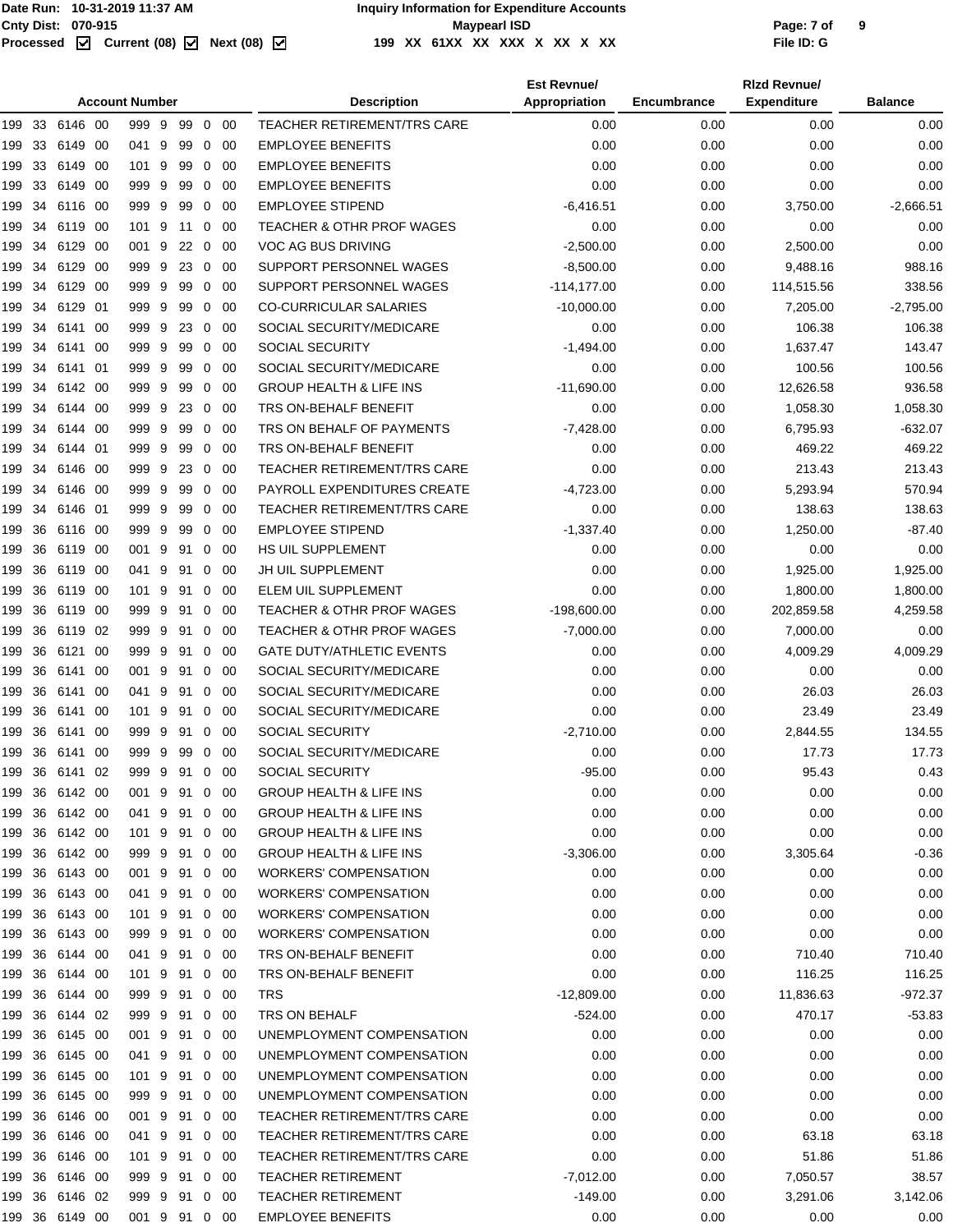|        |                       |                |      |               |   |            |                |             |                                      | <b>Est Revnue/</b> |                    | <b>Rizd Revnue/</b> | <b>Balance</b> |
|--------|-----------------------|----------------|------|---------------|---|------------|----------------|-------------|--------------------------------------|--------------------|--------------------|---------------------|----------------|
|        | <b>Account Number</b> |                |      |               |   |            |                |             | <b>Description</b>                   | Appropriation      | <b>Encumbrance</b> | <b>Expenditure</b>  |                |
|        |                       | 199 33 6146 00 |      | 999 9         |   | 99         |                | 0 00        | TEACHER RETIREMENT/TRS CARE          | 0.00               | 0.00               | 0.00                | 0.00           |
| 199    | 33                    | 6149           | - 00 | 041           | 9 | 99         | 0              | 00          | <b>EMPLOYEE BENEFITS</b>             | 0.00               | 0.00               | 0.00                | 0.00           |
| 199    | 33                    | 6149           | -00  | 101           | 9 | 99         | 0              | 00          | <b>EMPLOYEE BENEFITS</b>             | 0.00               | 0.00               | 0.00                | 0.00           |
| 199    | 33                    | 6149 00        |      | 999           | 9 | 99         | $\mathbf 0$    | -00         | <b>EMPLOYEE BENEFITS</b>             | 0.00               | 0.00               | 0.00                | 0.00           |
| 199    | 34                    | 6116 00        |      | 999           | 9 | 99         | $\mathbf 0$    | 00          | <b>EMPLOYEE STIPEND</b>              | $-6,416.51$        | 0.00               | 3,750.00            | $-2,666.51$    |
| 199    | 34                    | 6119 00        |      | 101 9         |   | 11         | 0              | -00         | <b>TEACHER &amp; OTHR PROF WAGES</b> | 0.00               | 0.00               | 0.00                | 0.00           |
| 199    | 34                    | 6129 00        |      | 001           | 9 | $22\quad0$ |                | -00         | VOC AG BUS DRIVING                   | $-2,500.00$        | 0.00               | 2,500.00            | 0.00           |
| 199    | 34                    | 6129 00        |      | 999           | 9 | 23         | 0              | 00          | SUPPORT PERSONNEL WAGES              | $-8,500.00$        | 0.00               | 9,488.16            | 988.16         |
| 199    | 34                    | 6129 00        |      | 999 9         |   | 99         | 0              | -00         | SUPPORT PERSONNEL WAGES              | $-114.177.00$      | 0.00               | 114,515.56          | 338.56         |
| 199    | 34                    | 6129 01        |      | 999           | 9 | 99         | $\mathbf 0$    | -00         | <b>CO-CURRICULAR SALARIES</b>        | $-10,000.00$       | 0.00               | 7,205.00            | $-2,795.00$    |
| 199    | 34                    | 6141           | - 00 | 999 9         |   | 23         | $\mathbf 0$    | 00          | SOCIAL SECURITY/MEDICARE             | 0.00               | 0.00               | 106.38              | 106.38         |
| 199    | 34                    | 6141 00        |      | 999 9         |   | 99         | 0              | -00         | SOCIAL SECURITY                      | $-1,494.00$        | 0.00               | 1,637.47            | 143.47         |
| 199    | 34                    | 6141 01        |      | 999 9         |   | 99         | $\mathbf 0$    | -00         | SOCIAL SECURITY/MEDICARE             | 0.00               | 0.00               | 100.56              | 100.56         |
| 199    | 34                    | 6142 00        |      | 999 9         |   | 99         | 0              | 00          | <b>GROUP HEALTH &amp; LIFE INS</b>   | $-11,690.00$       | 0.00               | 12,626.58           | 936.58         |
| 199    | 34                    | 6144 00        |      | 999 9         |   | 23         | 0              | 00          | TRS ON-BEHALF BENEFIT                | 0.00               | 0.00               | 1,058.30            | 1,058.30       |
| 199    | 34                    | 6144 00        |      | 999 9         |   | 99         | $\mathbf 0$    | - 00        | TRS ON BEHALF OF PAYMENTS            | $-7,428.00$        | 0.00               | 6,795.93            | $-632.07$      |
| 199    | 34                    | 6144 01        |      | 999 9         |   | 99         | $\mathbf 0$    | -00         | TRS ON-BEHALF BENEFIT                | 0.00               | 0.00               | 469.22              | 469.22         |
| 199    | 34                    | 6146 00        |      | 999           | 9 | 23         | 0              | -00         | TEACHER RETIREMENT/TRS CARE          | 0.00               | 0.00               | 213.43              | 213.43         |
| 199    | 34                    | 6146 00        |      | 999 9         |   | 99         | $\mathbf{0}$   | -00         | PAYROLL EXPENDITURES CREATE          | $-4,723.00$        | 0.00               | 5,293.94            | 570.94         |
| 199    | 34                    | 6146 01        |      | 999           | 9 | 99         | 0              | 00          | TEACHER RETIREMENT/TRS CARE          | 0.00               | 0.00               | 138.63              | 138.63         |
| 199    | 36                    | 6116 00        |      | 999 9         |   | 99         | 0              | -00         | <b>EMPLOYEE STIPEND</b>              | $-1,337.40$        | 0.00               | 1,250.00            | $-87.40$       |
| 199    | 36                    | 6119 00        |      | 001           | 9 | 91         | 0              | - 00        | HS UIL SUPPLEMENT                    | 0.00               | 0.00               | 0.00                | 0.00           |
| 199    | 36                    | 6119 00        |      | 041 9         |   | 91         | 0              | 00          | JH UIL SUPPLEMENT                    | 0.00               | 0.00               | 1,925.00            | 1,925.00       |
| 199    | 36                    | 6119 00        |      | 101 9         |   | 91         | 0              | -00         | ELEM UIL SUPPLEMENT                  | 0.00               | 0.00               | 1,800.00            | 1,800.00       |
| 199    | 36                    | 6119 00        |      | 999 9         |   | 91         | 0              | - 00        | <b>TEACHER &amp; OTHR PROF WAGES</b> | $-198,600.00$      | 0.00               | 202,859.58          | 4,259.58       |
| 199    | 36                    | 6119 02        |      | 999 9         |   | 91         | 0              | 00          | <b>TEACHER &amp; OTHR PROF WAGES</b> | $-7,000.00$        | 0.00               | 7,000.00            | 0.00           |
| 199    | 36                    | 6121 00        |      | 999 9         |   | 91         | 0              | -00         | <b>GATE DUTY/ATHLETIC EVENTS</b>     | 0.00               | 0.00               | 4,009.29            | 4,009.29       |
| 199    | 36                    | 6141 00        |      | 001           | 9 | 91         | $\mathbf 0$    | - 00        | SOCIAL SECURITY/MEDICARE             | 0.00               | 0.00               | 0.00                | 0.00           |
| 199    | 36                    | 6141           | -00  | 041 9         |   | 91         | $\mathbf 0$    | -00         | SOCIAL SECURITY/MEDICARE             | 0.00               | 0.00               | 26.03               | 26.03          |
| 199    | 36                    | 6141 00        |      | 101 9         |   | 91         | 0              | -00         | SOCIAL SECURITY/MEDICARE             | 0.00               | 0.00               | 23.49               | 23.49          |
| 199    | 36                    | 6141 00        |      | 999 9         |   | 91         | 0              | -00         | <b>SOCIAL SECURITY</b>               | $-2,710.00$        | 0.00               | 2,844.55            | 134.55         |
| 199    | 36                    | 6141 00        |      | 999 9         |   | 99         | $\overline{0}$ | -00         | SOCIAL SECURITY/MEDICARE             | 0.00               | 0.00               | 17.73               | 17.73          |
|        |                       | 199 36 6141 02 |      | 999 9 91 0 00 |   |            |                |             | SOCIAL SECURITY                      | $-95.00$           | 0.00               | 95.43               | 0.43           |
|        |                       | 199 36 6142 00 |      | 001 9         |   | 91 0 00    |                |             | <b>GROUP HEALTH &amp; LIFE INS</b>   | 0.00               | 0.00               | 0.00                | 0.00           |
|        |                       | 199 36 6142 00 |      | 041 9         |   | 91         |                | $0\quad 00$ | <b>GROUP HEALTH &amp; LIFE INS</b>   | 0.00               | 0.00               | 0.00                | 0.00           |
|        |                       | 199 36 6142 00 |      | 101 9 91 0 00 |   |            |                |             | <b>GROUP HEALTH &amp; LIFE INS</b>   | 0.00               | 0.00               | 0.00                | 0.00           |
|        |                       | 199 36 6142 00 |      | 999 9 91 0 00 |   |            |                |             | <b>GROUP HEALTH &amp; LIFE INS</b>   | $-3,306.00$        | 0.00               | 3,305.64            | $-0.36$        |
| 199 36 |                       | 6143 00        |      | 001 9         |   | 91         | $\mathbf 0$    | - 00        | <b>WORKERS' COMPENSATION</b>         | 0.00               | 0.00               | 0.00                | 0.00           |
|        |                       | 199 36 6143 00 |      | 041 9         |   | 91 0 00    |                |             | <b>WORKERS' COMPENSATION</b>         | 0.00               | 0.00               | 0.00                | 0.00           |
|        |                       | 199 36 6143 00 |      | 101 9 91 0 00 |   |            |                |             | <b>WORKERS' COMPENSATION</b>         | 0.00               | 0.00               | 0.00                | 0.00           |
| 199 36 |                       | 6143 00        |      | 999 9 91      |   |            |                | $0\quad 00$ | <b>WORKERS' COMPENSATION</b>         | 0.00               | 0.00               | 0.00                | 0.00           |
|        | 199 36                | 6144 00        |      | 041 9 91 0 00 |   |            |                |             | TRS ON-BEHALF BENEFIT                | 0.00               | 0.00               | 710.40              | 710.40         |
|        |                       | 199 36 6144 00 |      | 101 9 91 0 00 |   |            |                |             | TRS ON-BEHALF BENEFIT                | 0.00               | 0.00               | 116.25              | 116.25         |
| 199 36 |                       | 6144 00        |      | 999 9 91      |   |            | $\mathbf 0$    | - 00        | <b>TRS</b>                           | $-12,809.00$       | 0.00               | 11,836.63           | $-972.37$      |
|        | 199 36                | 6144 02        |      | 999 9 91 0    |   |            |                | - 00        | TRS ON BEHALF                        | $-524.00$          | 0.00               | 470.17              | $-53.83$       |
|        |                       | 199 36 6145 00 |      | 001 9 91 0 00 |   |            |                |             | UNEMPLOYMENT COMPENSATION            | 0.00               | 0.00               | 0.00                | 0.00           |
| 199 36 |                       | 6145 00        |      | 041 9         |   | 91         |                | $0\quad 00$ | UNEMPLOYMENT COMPENSATION            | 0.00               | 0.00               | 0.00                | 0.00           |
|        |                       | 199 36 6145 00 |      | 101 9         |   | 91 0 00    |                |             | UNEMPLOYMENT COMPENSATION            | 0.00               | 0.00               | 0.00                | 0.00           |
|        |                       | 199 36 6145 00 |      | 999 9 91 0 00 |   |            |                |             | UNEMPLOYMENT COMPENSATION            | 0.00               | 0.00               | 0.00                | 0.00           |
| 199 36 |                       | 6146 00        |      | 001 9         |   | 91         | $\mathbf 0$    | - 00        | <b>TEACHER RETIREMENT/TRS CARE</b>   | 0.00               | 0.00               | 0.00                | 0.00           |
|        |                       | 199 36 6146 00 |      | 041 9         |   |            |                | 91 0 00     | <b>TEACHER RETIREMENT/TRS CARE</b>   | 0.00               | 0.00               | 63.18               | 63.18          |
|        |                       | 199 36 6146 00 |      | 101 9 91 0 00 |   |            |                |             | <b>TEACHER RETIREMENT/TRS CARE</b>   | 0.00               | 0.00               | 51.86               | 51.86          |
| 199 36 |                       | 6146 00        |      | 999 9 91      |   |            |                | $0\quad 00$ | <b>TEACHER RETIREMENT</b>            | $-7,012.00$        | 0.00               | 7,050.57            | 38.57          |
|        |                       | 199 36 6146 02 |      | 999 9 91 0 00 |   |            |                |             | <b>TEACHER RETIREMENT</b>            | $-149.00$          | 0.00               | 3,291.06            | 3,142.06       |
|        |                       | 199 36 6149 00 |      | 001 9 91 0 00 |   |            |                |             | <b>EMPLOYEE BENEFITS</b>             | 0.00               | 0.00               | 0.00                | 0.00           |
|        |                       |                |      |               |   |            |                |             |                                      |                    |                    |                     |                |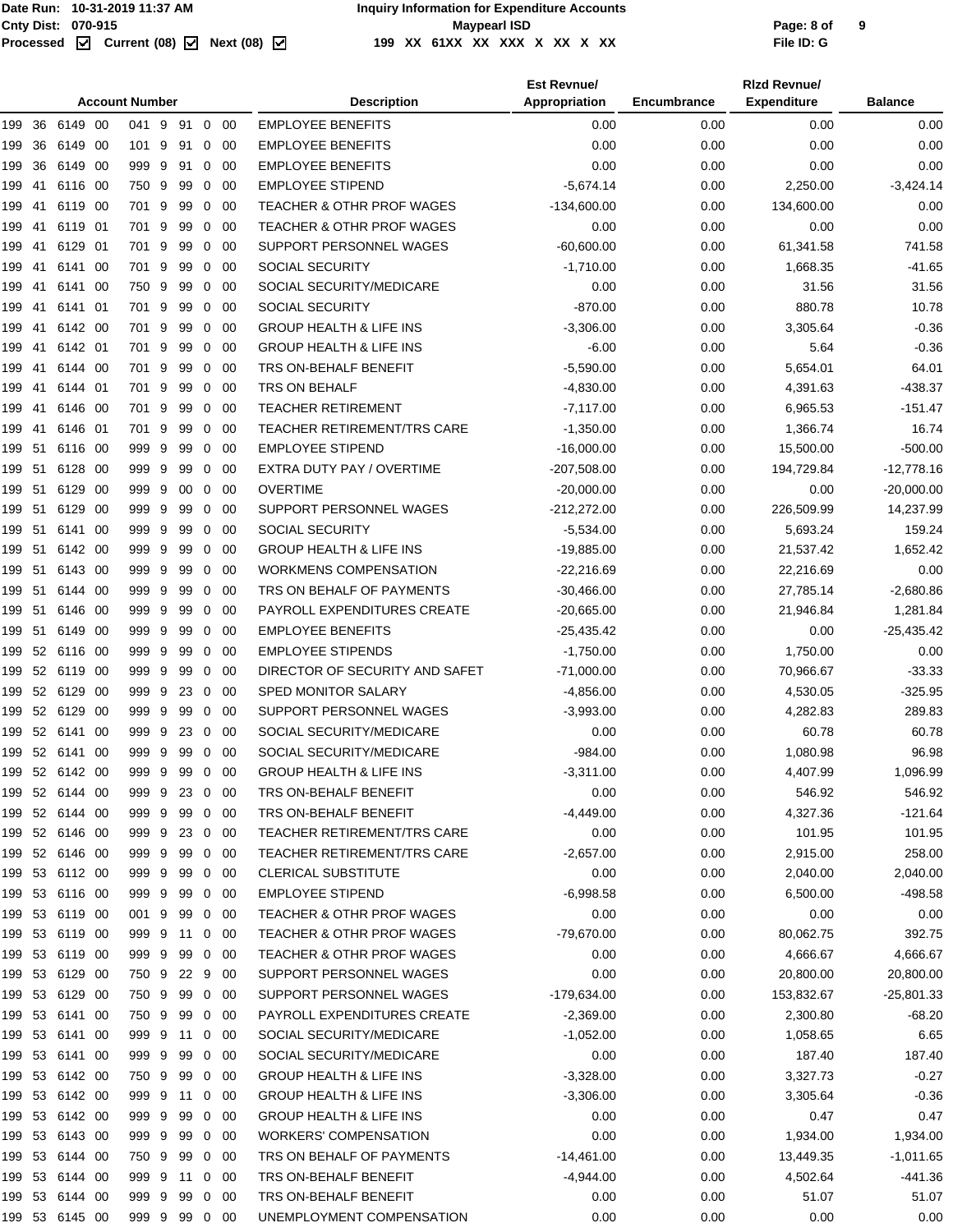|        | <b>Account Number</b> |                |      |               |   |         |                |             | <b>Description</b>                   | <b>Est Revnue/</b><br>Appropriation | Encumbrance | <b>Rizd Revnue/</b><br><b>Expenditure</b> | <b>Balance</b> |
|--------|-----------------------|----------------|------|---------------|---|---------|----------------|-------------|--------------------------------------|-------------------------------------|-------------|-------------------------------------------|----------------|
|        |                       |                |      |               |   |         |                |             |                                      |                                     |             |                                           |                |
| 199    | 36                    | 6149 00        |      | 041 9         |   | 91      | $\overline{0}$ | -00         | <b>EMPLOYEE BENEFITS</b>             | 0.00                                | 0.00        | 0.00                                      | 0.00           |
| 199    | 36                    | 6149           | -00  | 101 9         |   | 91      | $\mathbf{0}$   | -00         | <b>EMPLOYEE BENEFITS</b>             | 0.00                                | 0.00        | 0.00                                      | 0.00           |
| 199    | 36                    | 6149           | - 00 | 999 9         |   | 91      | $\mathbf{0}$   | -00         | <b>EMPLOYEE BENEFITS</b>             | 0.00                                | 0.00        | 0.00                                      | 0.00           |
| 199    | 41                    | 6116 00        |      | 750 9         |   | 99      | $\mathbf{0}$   | 00          | <b>EMPLOYEE STIPEND</b>              | $-5.674.14$                         | 0.00        | 2,250.00                                  | $-3,424.14$    |
| 199    | 41                    | 6119 00        |      | 701 9         |   | 99      | $\mathbf{0}$   | -00         | TEACHER & OTHR PROF WAGES            | $-134,600.00$                       | 0.00        | 134,600.00                                | 0.00           |
| 199    | 41                    | 6119           | -01  | 701 9         |   | 99      | $\mathbf 0$    | -00         | <b>TEACHER &amp; OTHR PROF WAGES</b> | 0.00                                | 0.00        | 0.00                                      | 0.00           |
| 199    | 41                    | 6129 01        |      | 701 9         |   | 99      | $\mathbf{0}$   | -00         | SUPPORT PERSONNEL WAGES              | $-60,600.00$                        | 0.00        | 61,341.58                                 | 741.58         |
| 199    | 41                    | 6141           | - 00 | 701 9         |   | 99      |                | $0\quad 00$ | <b>SOCIAL SECURITY</b>               | $-1,710.00$                         | 0.00        | 1,668.35                                  | $-41.65$       |
| 199    | 41                    | 6141 00        |      | 750 9         |   | 99      | $\mathbf{0}$   | -00         | SOCIAL SECURITY/MEDICARE             | 0.00                                | 0.00        | 31.56                                     | 31.56          |
| 199    | 41                    | 6141 01        |      | 701 9         |   | 99      | $\mathbf{0}$   | -00         | SOCIAL SECURITY                      | $-870.00$                           | 0.00        | 880.78                                    | 10.78          |
| 199    | 41                    | 6142 00        |      | 701 9         |   | 99      | $\mathbf{0}$   | -00         | <b>GROUP HEALTH &amp; LIFE INS</b>   | $-3,306.00$                         | 0.00        | 3,305.64                                  | $-0.36$        |
| 199    | 41                    | 6142 01        |      | 701 9         |   | 99      | $\mathbf{0}$   | -00         | <b>GROUP HEALTH &amp; LIFE INS</b>   | $-6.00$                             | 0.00        | 5.64                                      | $-0.36$        |
| 199    | 41                    | 6144 00        |      | 701 9         |   | 99      | $\mathbf{0}$   | -00         | TRS ON-BEHALF BENEFIT                | $-5,590.00$                         | 0.00        | 5,654.01                                  | 64.01          |
| 199    | 41                    | 6144 01        |      | 701 9         |   | 99      |                | $0\quad 00$ | <b>TRS ON BEHALF</b>                 | $-4,830.00$                         | 0.00        | 4,391.63                                  | -438.37        |
| 199    | 41                    | 6146 00        |      | 701 9         |   | 99      | $\mathbf{0}$   | 00          | <b>TEACHER RETIREMENT</b>            | $-7,117.00$                         | 0.00        | 6,965.53                                  | $-151.47$      |
| 199    | 41                    | 6146 01        |      | 701 9         |   | 99      | $\mathbf{0}$   | -00         | <b>TEACHER RETIREMENT/TRS CARE</b>   | $-1,350.00$                         | 0.00        | 1,366.74                                  | 16.74          |
| 199 51 |                       | 6116 00        |      | 999 9         |   | 99      | $\mathbf{0}$   | 00          | <b>EMPLOYEE STIPEND</b>              | $-16,000.00$                        | 0.00        | 15,500.00                                 | $-500.00$      |
| 199    | 51                    | 6128           | -00  | 999 9         |   | 99      | 0              | -00         | EXTRA DUTY PAY / OVERTIME            | $-207,508.00$                       | 0.00        | 194,729.84                                | $-12,778.16$   |
| 199    | -51                   | 6129           | - 00 | 999 9         |   | 00      | $\mathbf{0}$   | 00          | <b>OVERTIME</b>                      | $-20,000.00$                        | 0.00        | 0.00                                      | $-20,000.00$   |
| 199    | 51                    | 6129 00        |      | 999 9         |   | 99      | 0              | 00          | SUPPORT PERSONNEL WAGES              | $-212,272.00$                       | 0.00        | 226,509.99                                | 14,237.99      |
|        |                       |                |      |               |   |         |                |             |                                      |                                     |             |                                           |                |
| 199 51 |                       | 6141 00        |      | 999           | 9 | 99      | 0              | 00          | <b>SOCIAL SECURITY</b>               | $-5,534.00$                         | 0.00        | 5,693.24                                  | 159.24         |
| 199 51 |                       | 6142 00        |      | 999           | 9 | 99      | $\mathbf{0}$   | 00          | <b>GROUP HEALTH &amp; LIFE INS</b>   | $-19,885.00$                        | 0.00        | 21,537.42                                 | 1,652.42       |
| 199    | 51                    | 6143 00        |      | 999 9         |   | 99      | $\mathbf{0}$   | 00          | <b>WORKMENS COMPENSATION</b>         | $-22,216.69$                        | 0.00        | 22,216.69                                 | 0.00           |
| 199    | 51                    | 6144 00        |      | 999 9         |   | 99      | 0              | -00         | TRS ON BEHALF OF PAYMENTS            | $-30,466.00$                        | 0.00        | 27,785.14                                 | $-2,680.86$    |
| 199 51 |                       | 6146 00        |      | 999           | 9 | 99      | $\mathbf{0}$   | 00          | PAYROLL EXPENDITURES CREATE          | $-20,665.00$                        | 0.00        | 21,946.84                                 | 1,281.84       |
| 199 51 |                       | 6149 00        |      | 999 9         |   | 99      | $\overline{0}$ | -00         | <b>EMPLOYEE BENEFITS</b>             | $-25,435.42$                        | 0.00        | 0.00                                      | $-25,435.42$   |
| 199 52 |                       | 6116 00        |      | 999 9         |   | 99      | $\mathbf 0$    | 00          | <b>EMPLOYEE STIPENDS</b>             | $-1,750.00$                         | 0.00        | 1,750.00                                  | 0.00           |
| 199 52 |                       | 6119 00        |      | 999 9         |   | 99      | $\mathbf{0}$   | 00          | DIRECTOR OF SECURITY AND SAFET       | $-71,000.00$                        | 0.00        | 70,966.67                                 | $-33.33$       |
|        |                       | 199 52 6129 00 |      | 999 9         |   | 23      | 0              | -00         | <b>SPED MONITOR SALARY</b>           | $-4,856.00$                         | 0.00        | 4,530.05                                  | $-325.95$      |
| 199    | 52                    | 6129           | -00  | 999 9         |   | 99      | 0              | -00         | SUPPORT PERSONNEL WAGES              | $-3,993.00$                         | 0.00        | 4,282.83                                  | 289.83         |
| 199 52 |                       | 6141           | -00  | 999 9         |   | 23      | 0              | -00         | SOCIAL SECURITY/MEDICARE             | 0.00                                | 0.00        | 60.78                                     | 60.78          |
|        |                       | 199 52 6141 00 |      | 999 9         |   | 99      |                | $0\quad 00$ | SOCIAL SECURITY/MEDICARE             | $-984.00$                           | 0.00        | 1,080.98                                  | 96.98          |
|        |                       | 199 52 6142 00 |      | 999 9         |   | 99      | $\mathbf{0}$   | -00         | GROUP HEALTH & LIFE INS              | $-3,311.00$                         | 0.00        | 4,407.99                                  | 1,096.99       |
|        |                       | 199 52 6144 00 |      | 999 9         |   | 23 0 00 |                |             | TRS ON-BEHALF BENEFIT                | 0.00                                | 0.00        | 546.92                                    | 546.92         |
|        |                       | 199 52 6144 00 |      | 999 9         |   | 99      |                | $0\quad00$  | TRS ON-BEHALF BENEFIT                | $-4,449.00$                         | 0.00        | 4,327.36                                  | $-121.64$      |
|        |                       | 199 52 6146 00 |      | 999 9         |   | 23      |                | $0\quad 00$ | <b>TEACHER RETIREMENT/TRS CARE</b>   | 0.00                                | 0.00        | 101.95                                    | 101.95         |
|        |                       | 199 52 6146 00 |      | 999 9         |   | 99      |                | $0\quad 00$ | TEACHER RETIREMENT/TRS CARE          | $-2,657.00$                         | 0.00        | 2,915.00                                  | 258.00         |
|        |                       | 199 53 6112 00 |      | 999 9         |   | 99      |                | $0\quad00$  | <b>CLERICAL SUBSTITUTE</b>           | 0.00                                | 0.00        | 2,040.00                                  | 2,040.00       |
| 199 53 |                       | 6116 00        |      | 999 9         |   | 99      |                | $0\quad 00$ | <b>EMPLOYEE STIPEND</b>              | $-6,998.58$                         | 0.00        | 6,500.00                                  | $-498.58$      |
|        |                       | 199 53 6119 00 |      | 001 9         |   | 99      |                | $0\quad 00$ | TEACHER & OTHR PROF WAGES            | 0.00                                | 0.00        | 0.00                                      | 0.00           |
|        |                       | 199 53 6119 00 |      | 999 9         |   | 11      |                | $0\quad 00$ | TEACHER & OTHR PROF WAGES            | $-79,670.00$                        | 0.00        | 80,062.75                                 | 392.75         |
| 199 53 |                       | 6119 00        |      | 999 9         |   | 99      |                | $0\quad 00$ | TEACHER & OTHR PROF WAGES            | 0.00                                | 0.00        | 4,666.67                                  | 4,666.67       |
|        |                       | 199 53 6129 00 |      | 750 9         |   | 22      |                | 9 00        | SUPPORT PERSONNEL WAGES              | 0.00                                | 0.00        | 20,800.00                                 | 20,800.00      |
|        |                       | 199 53 6129 00 |      | 750 9         |   | 99      |                | $0\quad00$  | SUPPORT PERSONNEL WAGES              | $-179,634.00$                       | 0.00        | 153,832.67                                | $-25,801.33$   |
| 199 53 |                       | 6141 00        |      | 750 9         |   | 99      |                | $0\quad 00$ | PAYROLL EXPENDITURES CREATE          | $-2,369.00$                         | 0.00        | 2,300.80                                  | $-68.20$       |
|        |                       | 199 53 6141 00 |      | 999 9         |   | 11      |                | $0\quad 00$ | SOCIAL SECURITY/MEDICARE             | $-1,052.00$                         |             |                                           | 6.65           |
|        |                       |                |      |               |   |         |                |             |                                      |                                     | 0.00        | 1,058.65                                  |                |
|        |                       | 199 53 6141 00 |      | 999 9         |   | 99      |                | $0\quad 00$ | SOCIAL SECURITY/MEDICARE             | 0.00                                | 0.00        | 187.40                                    | 187.40         |
| 199 53 |                       | 6142 00        |      | 750 9         |   | 99      |                | $0\quad 00$ | <b>GROUP HEALTH &amp; LIFE INS</b>   | $-3,328.00$                         | 0.00        | 3,327.73                                  | $-0.27$        |
| 199 53 |                       | 6142 00        |      | 999 9         |   | 11      |                | $0\quad 00$ | <b>GROUP HEALTH &amp; LIFE INS</b>   | $-3,306.00$                         | 0.00        | 3,305.64                                  | $-0.36$        |
|        |                       | 199 53 6142 00 |      | 999 9         |   | 99      |                | $0\quad00$  | <b>GROUP HEALTH &amp; LIFE INS</b>   | 0.00                                | 0.00        | 0.47                                      | 0.47           |
|        |                       | 199 53 6143 00 |      | 999 9         |   | 99      |                | $0\quad 00$ | <b>WORKERS' COMPENSATION</b>         | 0.00                                | 0.00        | 1,934.00                                  | 1,934.00       |
|        |                       | 199 53 6144 00 |      | 750 9         |   | 99      |                | $0\quad 00$ | TRS ON BEHALF OF PAYMENTS            | $-14,461.00$                        | 0.00        | 13,449.35                                 | $-1,011.65$    |
|        |                       | 199 53 6144 00 |      | 999 9         |   | 11      |                | $0\quad 00$ | TRS ON-BEHALF BENEFIT                | $-4,944.00$                         | 0.00        | 4,502.64                                  | $-441.36$      |
|        |                       | 199 53 6144 00 |      | 999 9         |   | 99      |                | $0\quad 00$ | TRS ON-BEHALF BENEFIT                | 0.00                                | 0.00        | 51.07                                     | 51.07          |
|        |                       | 199 53 6145 00 |      | 999 9 99 0 00 |   |         |                |             | UNEMPLOYMENT COMPENSATION            | 0.00                                | 0.00        | 0.00                                      | 0.00           |